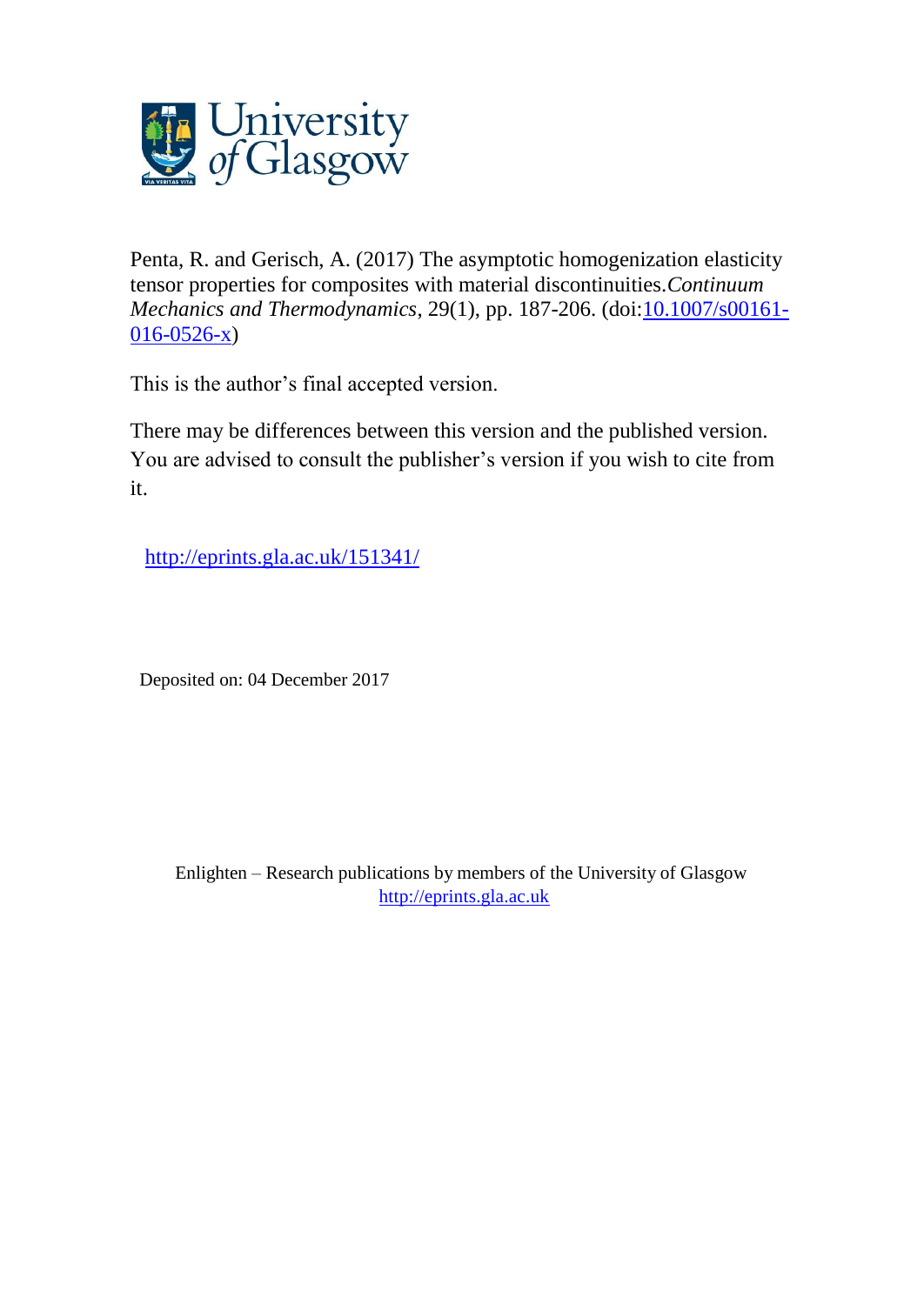

Penta, R. and Gerisch, A. (2017) The asymptotic homogenization elasticity tensor properties for composites with material discontinuities.*Continuum Mechanics and Thermodynamics*, 29(1), pp. 187-206. (doi[:10.1007/s00161-](http://dx.doi.org/10.1007/s00161-016-0526-x) [016-0526-x\)](http://dx.doi.org/10.1007/s00161-016-0526-x)

This is the author's final accepted version.

There may be differences between this version and the published version. You are advised to consult the publisher's version if you wish to cite from it.

<http://eprints.gla.ac.uk/151341/>

Deposited on: 04 December 2017

Enlighten – Research publications by members of the University of Glasgow [http://eprints.gla.ac.uk](http://eprints.gla.ac.uk/)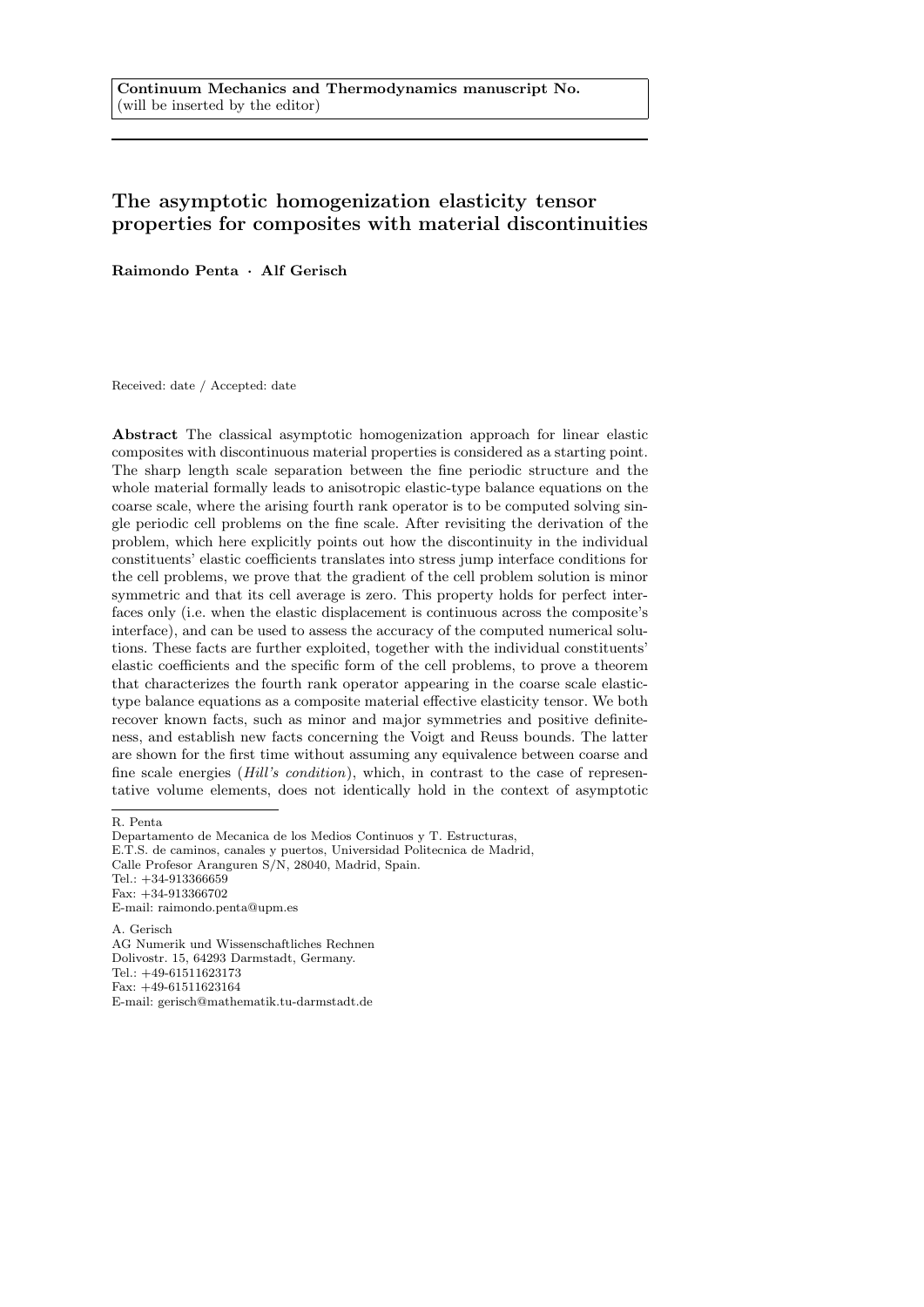# The asymptotic homogenization elasticity tensor properties for composites with material discontinuities

Raimondo Penta · Alf Gerisch

Received: date / Accepted: date

Abstract The classical asymptotic homogenization approach for linear elastic composites with discontinuous material properties is considered as a starting point. The sharp length scale separation between the fine periodic structure and the whole material formally leads to anisotropic elastic-type balance equations on the coarse scale, where the arising fourth rank operator is to be computed solving single periodic cell problems on the fine scale. After revisiting the derivation of the problem, which here explicitly points out how the discontinuity in the individual constituents' elastic coefficients translates into stress jump interface conditions for the cell problems, we prove that the gradient of the cell problem solution is minor symmetric and that its cell average is zero. This property holds for perfect interfaces only (i.e. when the elastic displacement is continuous across the composite's interface), and can be used to assess the accuracy of the computed numerical solutions. These facts are further exploited, together with the individual constituents' elastic coefficients and the specific form of the cell problems, to prove a theorem that characterizes the fourth rank operator appearing in the coarse scale elastictype balance equations as a composite material effective elasticity tensor. We both recover known facts, such as minor and major symmetries and positive definiteness, and establish new facts concerning the Voigt and Reuss bounds. The latter are shown for the first time without assuming any equivalence between coarse and fine scale energies (Hill's condition), which, in contrast to the case of representative volume elements, does not identically hold in the context of asymptotic

R. Penta

Departamento de Mecanica de los Medios Continuos y T. Estructuras, E.T.S. de caminos, canales y puertos, Universidad Politecnica de Madrid, Calle Profesor Aranguren S/N, 28040, Madrid, Spain. Tel.: +34-913366659 Fax: +34-913366702 E-mail: raimondo.penta@upm.es A. Gerisch

AG Numerik und Wissenschaftliches Rechnen Dolivostr. 15, 64293 Darmstadt, Germany. Tel.: +49-61511623173 Fax: +49-61511623164 E-mail: gerisch@mathematik.tu-darmstadt.de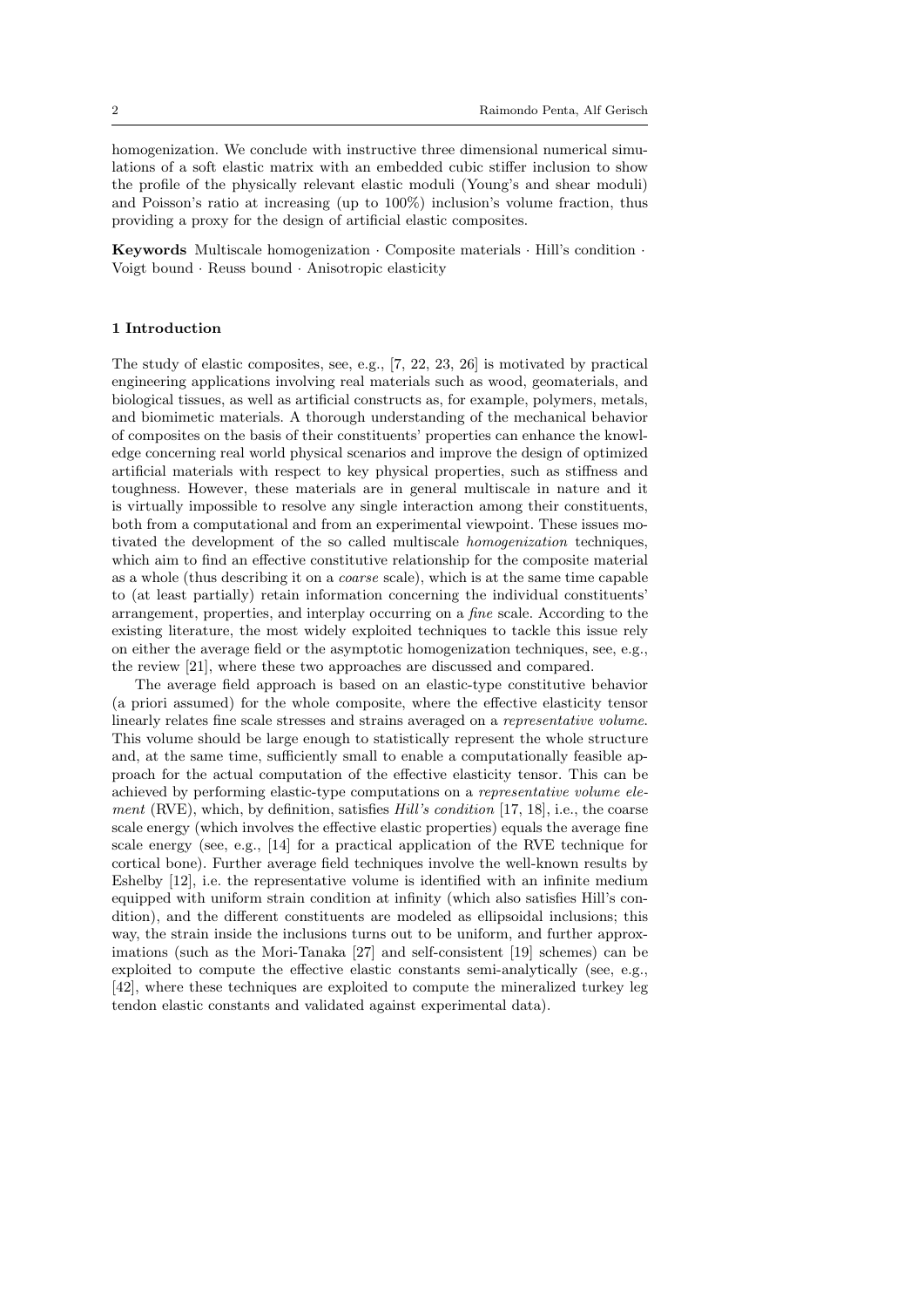homogenization. We conclude with instructive three dimensional numerical simulations of a soft elastic matrix with an embedded cubic stiffer inclusion to show the profile of the physically relevant elastic moduli (Young's and shear moduli) and Poisson's ratio at increasing (up to 100%) inclusion's volume fraction, thus providing a proxy for the design of artificial elastic composites.

Keywords Multiscale homogenization · Composite materials · Hill's condition · Voigt bound · Reuss bound · Anisotropic elasticity

#### 1 Introduction

The study of elastic composites, see, e.g., [7, 22, 23, 26] is motivated by practical engineering applications involving real materials such as wood, geomaterials, and biological tissues, as well as artificial constructs as, for example, polymers, metals, and biomimetic materials. A thorough understanding of the mechanical behavior of composites on the basis of their constituents' properties can enhance the knowledge concerning real world physical scenarios and improve the design of optimized artificial materials with respect to key physical properties, such as stiffness and toughness. However, these materials are in general multiscale in nature and it is virtually impossible to resolve any single interaction among their constituents, both from a computational and from an experimental viewpoint. These issues motivated the development of the so called multiscale homogenization techniques, which aim to find an effective constitutive relationship for the composite material as a whole (thus describing it on a coarse scale), which is at the same time capable to (at least partially) retain information concerning the individual constituents' arrangement, properties, and interplay occurring on a fine scale. According to the existing literature, the most widely exploited techniques to tackle this issue rely on either the average field or the asymptotic homogenization techniques, see, e.g., the review [21], where these two approaches are discussed and compared.

The average field approach is based on an elastic-type constitutive behavior (a priori assumed) for the whole composite, where the effective elasticity tensor linearly relates fine scale stresses and strains averaged on a representative volume. This volume should be large enough to statistically represent the whole structure and, at the same time, sufficiently small to enable a computationally feasible approach for the actual computation of the effective elasticity tensor. This can be achieved by performing elastic-type computations on a representative volume element (RVE), which, by definition, satisfies  $Hill's$  condition [17, 18], i.e., the coarse scale energy (which involves the effective elastic properties) equals the average fine scale energy (see, e.g., [14] for a practical application of the RVE technique for cortical bone). Further average field techniques involve the well-known results by Eshelby [12], i.e. the representative volume is identified with an infinite medium equipped with uniform strain condition at infinity (which also satisfies Hill's condition), and the different constituents are modeled as ellipsoidal inclusions; this way, the strain inside the inclusions turns out to be uniform, and further approximations (such as the Mori-Tanaka [27] and self-consistent [19] schemes) can be exploited to compute the effective elastic constants semi-analytically (see, e.g., [42], where these techniques are exploited to compute the mineralized turkey leg tendon elastic constants and validated against experimental data).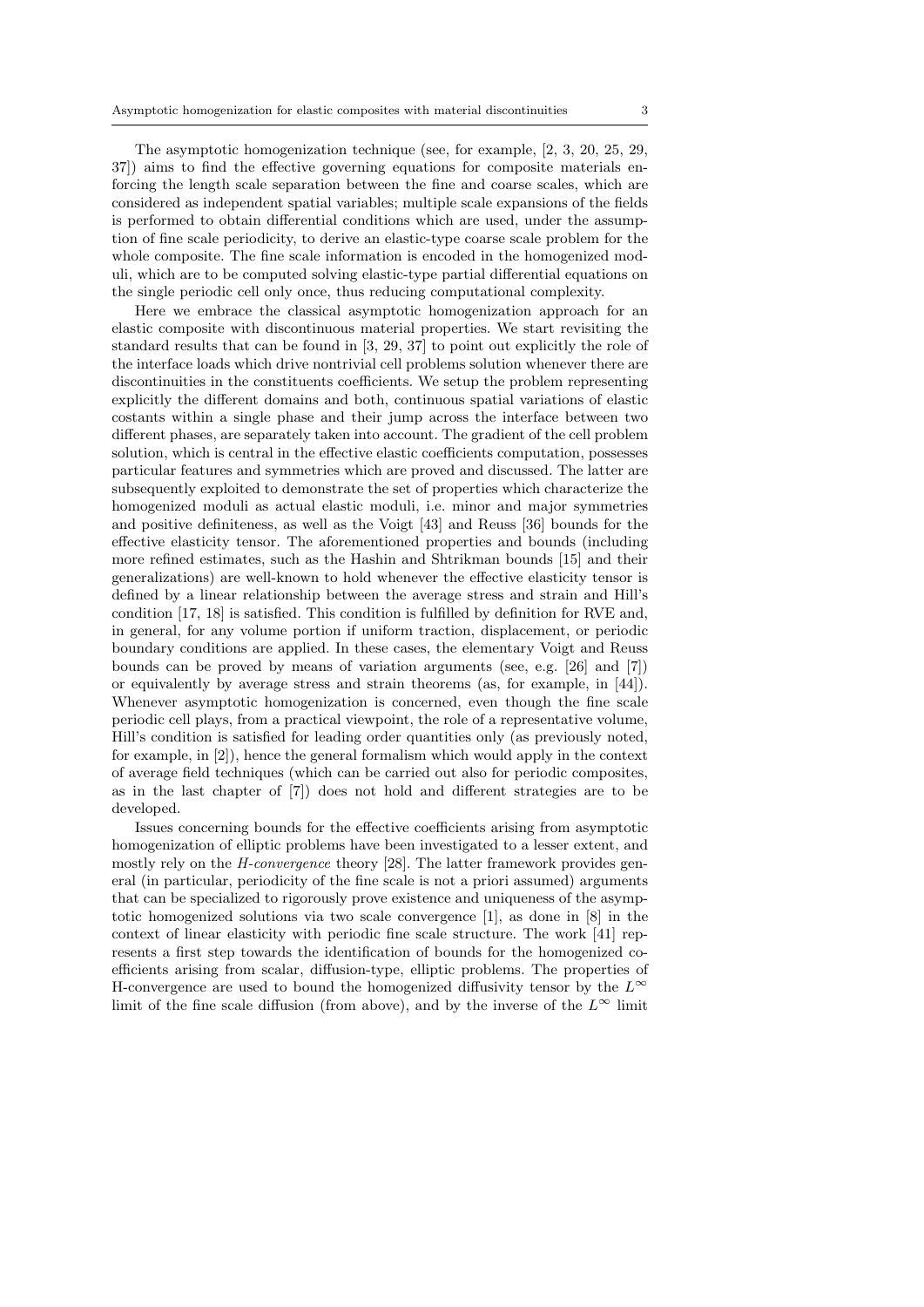The asymptotic homogenization technique (see, for example, [2, 3, 20, 25, 29, 37]) aims to find the effective governing equations for composite materials enforcing the length scale separation between the fine and coarse scales, which are considered as independent spatial variables; multiple scale expansions of the fields is performed to obtain differential conditions which are used, under the assumption of fine scale periodicity, to derive an elastic-type coarse scale problem for the whole composite. The fine scale information is encoded in the homogenized moduli, which are to be computed solving elastic-type partial differential equations on the single periodic cell only once, thus reducing computational complexity.

Here we embrace the classical asymptotic homogenization approach for an elastic composite with discontinuous material properties. We start revisiting the standard results that can be found in [3, 29, 37] to point out explicitly the role of the interface loads which drive nontrivial cell problems solution whenever there are discontinuities in the constituents coefficients. We setup the problem representing explicitly the different domains and both, continuous spatial variations of elastic costants within a single phase and their jump across the interface between two different phases, are separately taken into account. The gradient of the cell problem solution, which is central in the effective elastic coefficients computation, possesses particular features and symmetries which are proved and discussed. The latter are subsequently exploited to demonstrate the set of properties which characterize the homogenized moduli as actual elastic moduli, i.e. minor and major symmetries and positive definiteness, as well as the Voigt [43] and Reuss [36] bounds for the effective elasticity tensor. The aforementioned properties and bounds (including more refined estimates, such as the Hashin and Shtrikman bounds [15] and their generalizations) are well-known to hold whenever the effective elasticity tensor is defined by a linear relationship between the average stress and strain and Hill's condition [17, 18] is satisfied. This condition is fulfilled by definition for RVE and, in general, for any volume portion if uniform traction, displacement, or periodic boundary conditions are applied. In these cases, the elementary Voigt and Reuss bounds can be proved by means of variation arguments (see, e.g. [26] and [7]) or equivalently by average stress and strain theorems (as, for example, in [44]). Whenever asymptotic homogenization is concerned, even though the fine scale periodic cell plays, from a practical viewpoint, the role of a representative volume, Hill's condition is satisfied for leading order quantities only (as previously noted, for example, in [2]), hence the general formalism which would apply in the context of average field techniques (which can be carried out also for periodic composites, as in the last chapter of [7]) does not hold and different strategies are to be developed.

Issues concerning bounds for the effective coefficients arising from asymptotic homogenization of elliptic problems have been investigated to a lesser extent, and mostly rely on the *H-convergence* theory [28]. The latter framework provides general (in particular, periodicity of the fine scale is not a priori assumed) arguments that can be specialized to rigorously prove existence and uniqueness of the asymptotic homogenized solutions via two scale convergence [1], as done in [8] in the context of linear elasticity with periodic fine scale structure. The work [41] represents a first step towards the identification of bounds for the homogenized coefficients arising from scalar, diffusion-type, elliptic problems. The properties of H-convergence are used to bound the homogenized diffusivity tensor by the  $L^{\infty}$ limit of the fine scale diffusion (from above), and by the inverse of the  $L^{\infty}$  limit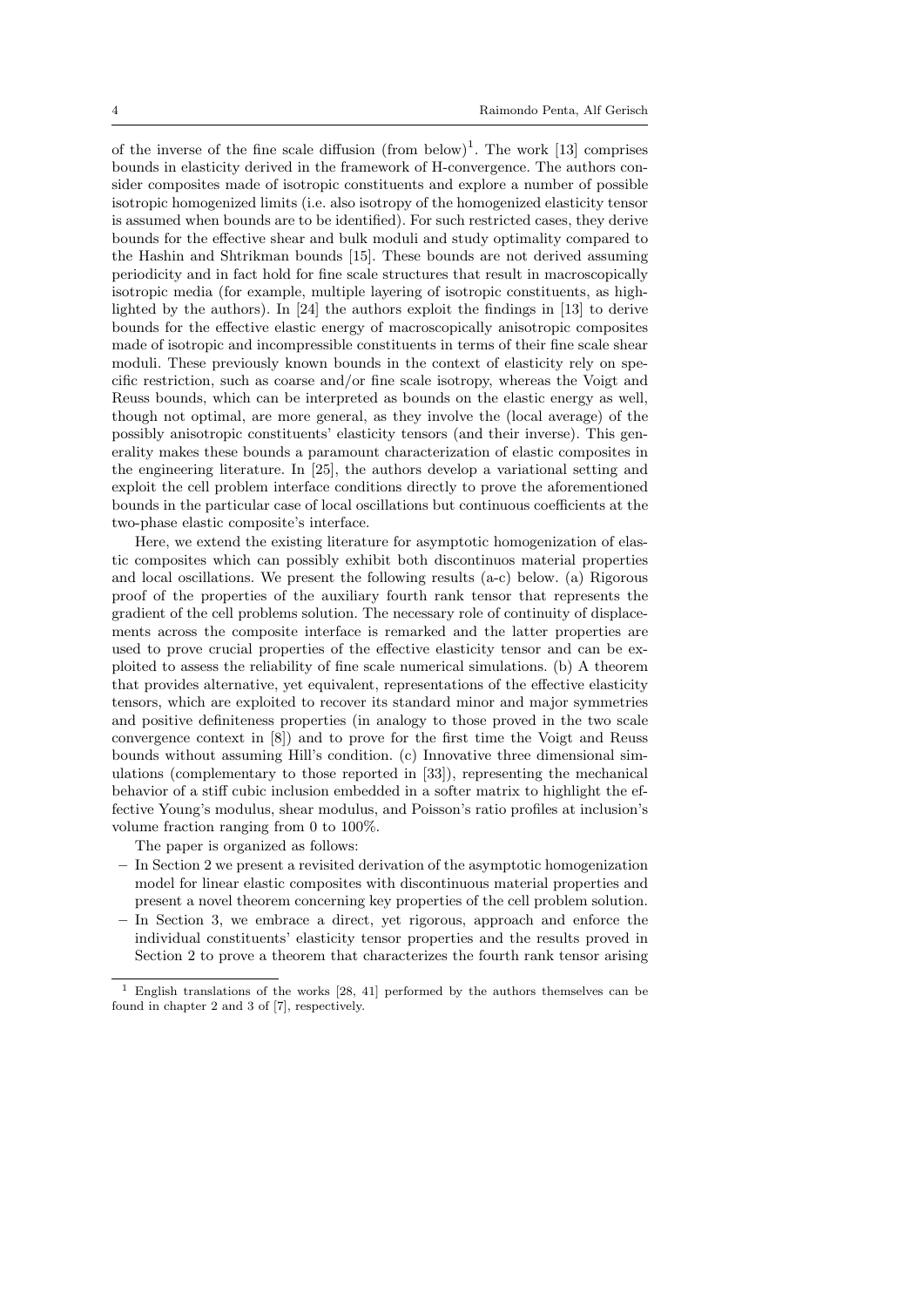of the inverse of the fine scale diffusion  $(from below)^{1}$ . The work [13] comprises bounds in elasticity derived in the framework of H-convergence. The authors consider composites made of isotropic constituents and explore a number of possible isotropic homogenized limits (i.e. also isotropy of the homogenized elasticity tensor is assumed when bounds are to be identified). For such restricted cases, they derive bounds for the effective shear and bulk moduli and study optimality compared to the Hashin and Shtrikman bounds [15]. These bounds are not derived assuming periodicity and in fact hold for fine scale structures that result in macroscopically isotropic media (for example, multiple layering of isotropic constituents, as highlighted by the authors). In [24] the authors exploit the findings in [13] to derive bounds for the effective elastic energy of macroscopically anisotropic composites made of isotropic and incompressible constituents in terms of their fine scale shear moduli. These previously known bounds in the context of elasticity rely on specific restriction, such as coarse and/or fine scale isotropy, whereas the Voigt and Reuss bounds, which can be interpreted as bounds on the elastic energy as well, though not optimal, are more general, as they involve the (local average) of the possibly anisotropic constituents' elasticity tensors (and their inverse). This generality makes these bounds a paramount characterization of elastic composites in the engineering literature. In [25], the authors develop a variational setting and exploit the cell problem interface conditions directly to prove the aforementioned bounds in the particular case of local oscillations but continuous coefficients at the two-phase elastic composite's interface.

Here, we extend the existing literature for asymptotic homogenization of elastic composites which can possibly exhibit both discontinuos material properties and local oscillations. We present the following results (a-c) below. (a) Rigorous proof of the properties of the auxiliary fourth rank tensor that represents the gradient of the cell problems solution. The necessary role of continuity of displacements across the composite interface is remarked and the latter properties are used to prove crucial properties of the effective elasticity tensor and can be exploited to assess the reliability of fine scale numerical simulations. (b) A theorem that provides alternative, yet equivalent, representations of the effective elasticity tensors, which are exploited to recover its standard minor and major symmetries and positive definiteness properties (in analogy to those proved in the two scale convergence context in [8]) and to prove for the first time the Voigt and Reuss bounds without assuming Hill's condition. (c) Innovative three dimensional simulations (complementary to those reported in [33]), representing the mechanical behavior of a stiff cubic inclusion embedded in a softer matrix to highlight the effective Young's modulus, shear modulus, and Poisson's ratio profiles at inclusion's volume fraction ranging from 0 to 100%.

The paper is organized as follows:

- In Section 2 we present a revisited derivation of the asymptotic homogenization model for linear elastic composites with discontinuous material properties and present a novel theorem concerning key properties of the cell problem solution.
- In Section 3, we embrace a direct, yet rigorous, approach and enforce the individual constituents' elasticity tensor properties and the results proved in Section 2 to prove a theorem that characterizes the fourth rank tensor arising

 $^{\rm 1}$  English translations of the works [28, 41] performed by the authors themselves can be found in chapter 2 and 3 of [7], respectively.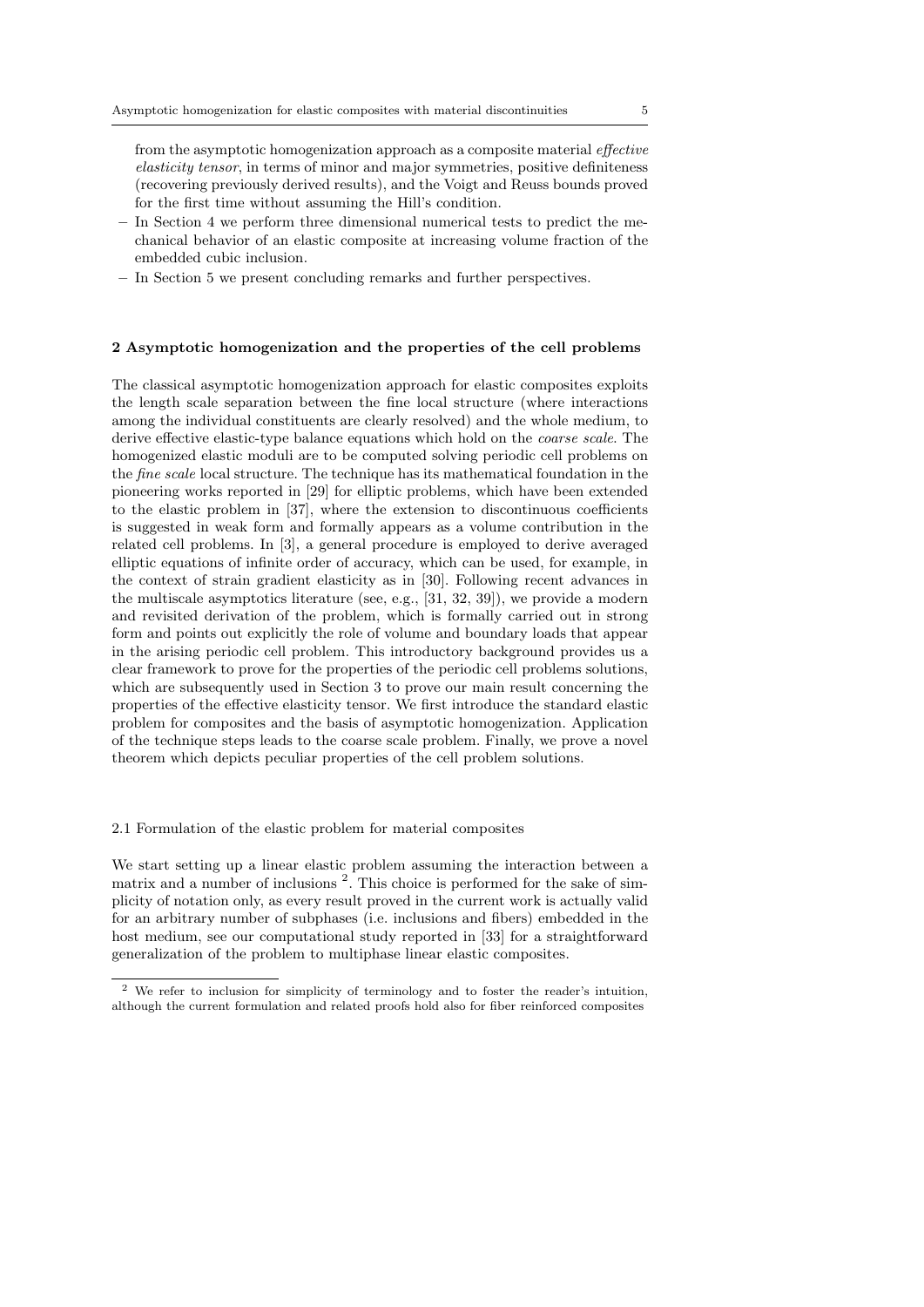from the asymptotic homogenization approach as a composite material effective elasticity tensor, in terms of minor and major symmetries, positive definiteness (recovering previously derived results), and the Voigt and Reuss bounds proved for the first time without assuming the Hill's condition.

- In Section 4 we perform three dimensional numerical tests to predict the mechanical behavior of an elastic composite at increasing volume fraction of the embedded cubic inclusion.
- In Section 5 we present concluding remarks and further perspectives.

#### 2 Asymptotic homogenization and the properties of the cell problems

The classical asymptotic homogenization approach for elastic composites exploits the length scale separation between the fine local structure (where interactions among the individual constituents are clearly resolved) and the whole medium, to derive effective elastic-type balance equations which hold on the *coarse scale*. The homogenized elastic moduli are to be computed solving periodic cell problems on the fine scale local structure. The technique has its mathematical foundation in the pioneering works reported in [29] for elliptic problems, which have been extended to the elastic problem in [37], where the extension to discontinuous coefficients is suggested in weak form and formally appears as a volume contribution in the related cell problems. In [3], a general procedure is employed to derive averaged elliptic equations of infinite order of accuracy, which can be used, for example, in the context of strain gradient elasticity as in [30]. Following recent advances in the multiscale asymptotics literature (see, e.g., [31, 32, 39]), we provide a modern and revisited derivation of the problem, which is formally carried out in strong form and points out explicitly the role of volume and boundary loads that appear in the arising periodic cell problem. This introductory background provides us a clear framework to prove for the properties of the periodic cell problems solutions, which are subsequently used in Section 3 to prove our main result concerning the properties of the effective elasticity tensor. We first introduce the standard elastic problem for composites and the basis of asymptotic homogenization. Application of the technique steps leads to the coarse scale problem. Finally, we prove a novel theorem which depicts peculiar properties of the cell problem solutions.

#### 2.1 Formulation of the elastic problem for material composites

We start setting up a linear elastic problem assuming the interaction between a matrix and a number of inclusions<sup>2</sup>. This choice is performed for the sake of simplicity of notation only, as every result proved in the current work is actually valid for an arbitrary number of subphases (i.e. inclusions and fibers) embedded in the host medium, see our computational study reported in [33] for a straightforward generalization of the problem to multiphase linear elastic composites.

<sup>2</sup> We refer to inclusion for simplicity of terminology and to foster the reader's intuition, although the current formulation and related proofs hold also for fiber reinforced composites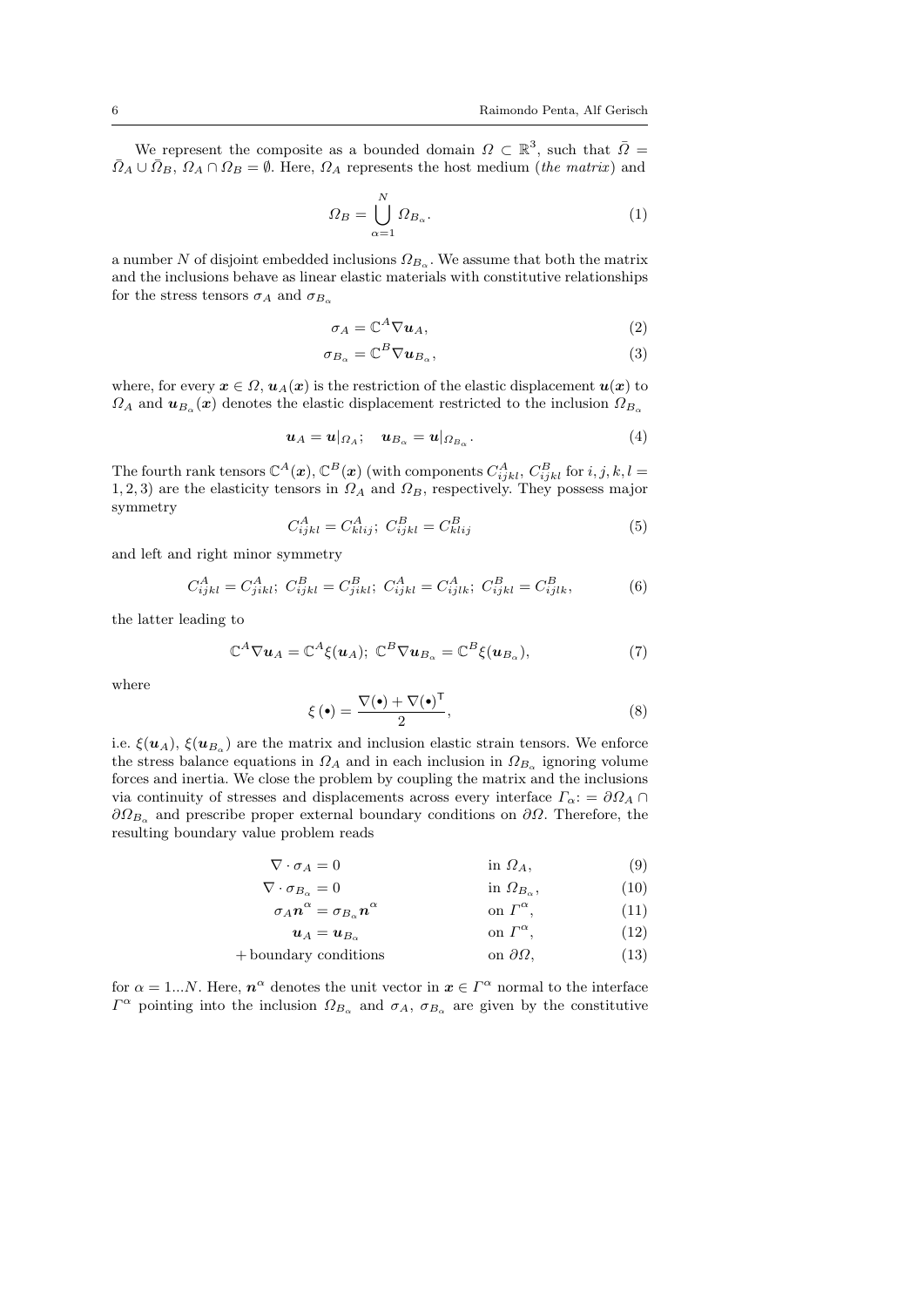We represent the composite as a bounded domain  $\Omega \subset \mathbb{R}^3$ , such that  $\overline{\Omega} =$  $\overline{\Omega}_A \cup \overline{\Omega}_B$ ,  $\Omega_A \cap \Omega_B = \emptyset$ . Here,  $\Omega_A$  represents the host medium (*the matrix*) and

$$
\Omega_B = \bigcup_{\alpha=1}^N \Omega_{B_\alpha}.\tag{1}
$$

a number N of disjoint embedded inclusions  $\Omega_{B_\alpha}$ . We assume that both the matrix and the inclusions behave as linear elastic materials with constitutive relationships for the stress tensors  $\sigma_A$  and  $\sigma_{B_\alpha}$ 

$$
\sigma_A = \mathbb{C}^A \nabla u_A,\tag{2}
$$

$$
\sigma_{B_{\alpha}} = \mathbb{C}^{B} \nabla u_{B_{\alpha}},\tag{3}
$$

where, for every  $x \in \Omega$ ,  $u_A(x)$  is the restriction of the elastic displacement  $u(x)$  to  $\Omega_A$  and  $\mathbf{u}_{B_\alpha}(\mathbf{x})$  denotes the elastic displacement restricted to the inclusion  $\Omega_{B_\alpha}$ 

$$
\mathbf{u}_A = \mathbf{u}|_{\Omega_A}; \quad \mathbf{u}_{B_\alpha} = \mathbf{u}|_{\Omega_{B_\alpha}}.\tag{4}
$$

The fourth rank tensors  $\mathbb{C}^{A}(\boldsymbol{x}), \mathbb{C}^{B}(\boldsymbol{x})$  (with components  $C_{ijkl}^{A}$ ,  $C_{ijkl}^{B}$  for  $i, j, k, l =$ 1, 2, 3) are the elasticity tensors in  $\Omega_A$  and  $\Omega_B$ , respectively. They possess major symmetry

$$
C_{ijkl}^A = C_{klij}^A; \ C_{ijkl}^B = C_{klij}^B \tag{5}
$$

and left and right minor symmetry

$$
C_{ijkl}^A = C_{jikl}^A; \ C_{ijkl}^B = C_{jikl}^B; \ C_{ijkl}^A = C_{ijkl}^A; \ C_{ijkl}^B = C_{ijklk}^B,
$$
 (6)

the latter leading to

$$
\mathbb{C}^{A}\nabla u_{A}=\mathbb{C}^{A}\xi(u_{A}); \ \mathbb{C}^{B}\nabla u_{B_{\alpha}}=\mathbb{C}^{B}\xi(u_{B_{\alpha}}), \qquad (7)
$$

where

$$
\xi(\bullet) = \frac{\nabla(\bullet) + \nabla(\bullet)^{\mathsf{T}}}{2},\tag{8}
$$

i.e.  $\xi(\mathbf{u}_A)$ ,  $\xi(\mathbf{u}_{B_\alpha})$  are the matrix and inclusion elastic strain tensors. We enforce the stress balance equations in  $\Omega_A$  and in each inclusion in  $\Omega_{B_\alpha}$  ignoring volume forces and inertia. We close the problem by coupling the matrix and the inclusions via continuity of stresses and displacements across every interface  $\Gamma_{\alpha}$ : =  $\partial\Omega_{A}\cap$  $\partial\Omega_{B_{\alpha}}$  and prescribe proper external boundary conditions on  $\partial\Omega$ . Therefore, the resulting boundary value problem reads

$$
\nabla \cdot \sigma_A = 0 \qquad \qquad \text{in } \Omega_A,\tag{9}
$$

$$
\nabla \cdot \sigma_{B_{\alpha}} = 0 \qquad \qquad \text{in } \Omega_{B_{\alpha}}, \tag{10}
$$

$$
\sigma_A \mathbf{n}^{\alpha} = \sigma_{B_{\alpha}} \mathbf{n}^{\alpha} \qquad \text{on } \Gamma^{\alpha}, \qquad (11)
$$

$$
u_A = u_{B_\alpha} \qquad \text{on } \Gamma^\alpha,
$$
 (12)

$$
+\text{boundary conditions}\qquad\qquad\text{on }\partial\Omega,\tag{13}
$$

for  $\alpha = 1...N$ . Here,  $n^{\alpha}$  denotes the unit vector in  $x \in \Gamma^{\alpha}$  normal to the interface  $\Gamma^{\alpha}$  pointing into the inclusion  $\Omega_{B_{\alpha}}$  and  $\sigma_A$ ,  $\sigma_{B_{\alpha}}$  are given by the constitutive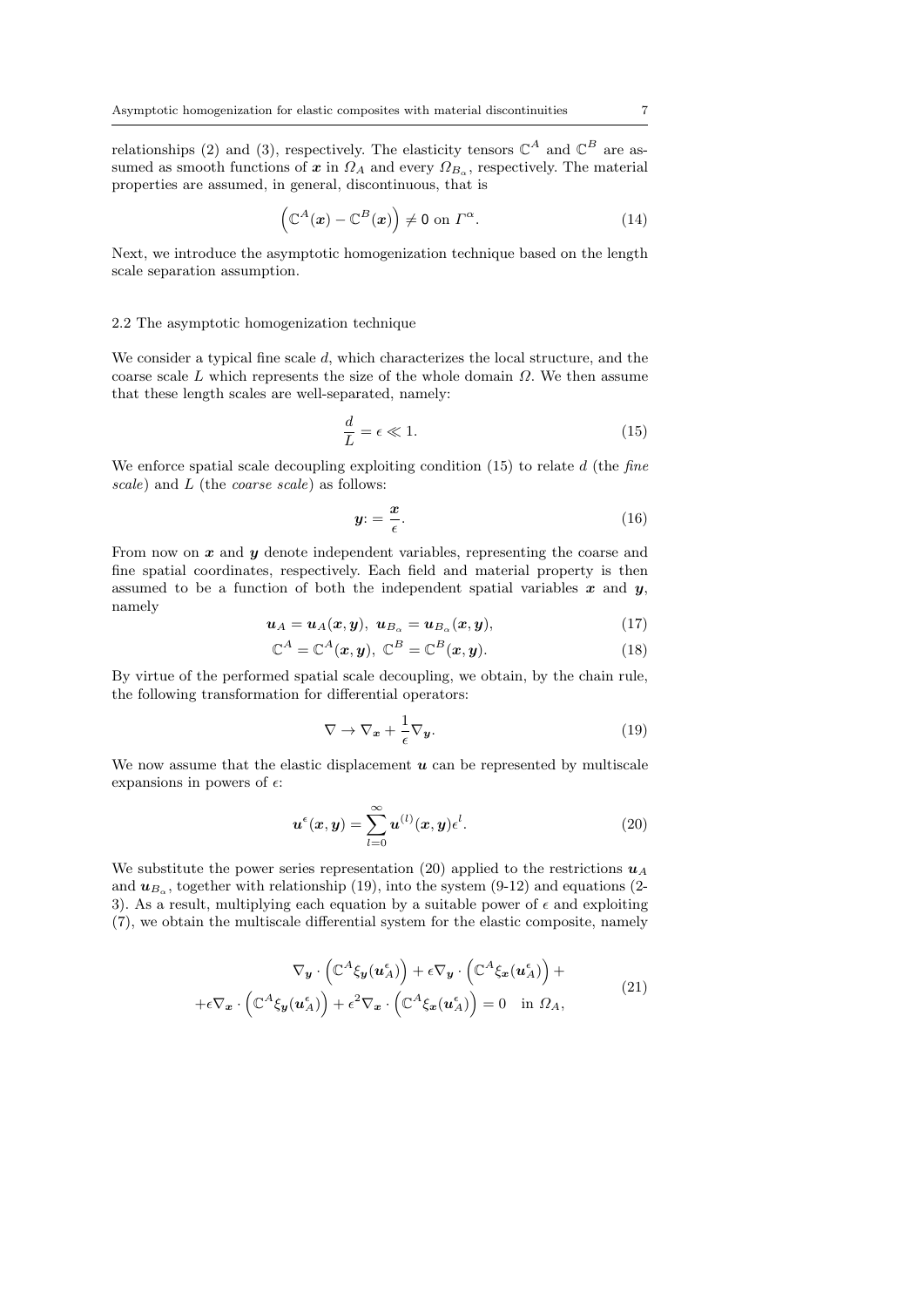relationships (2) and (3), respectively. The elasticity tensors  $\mathbb{C}^{A}$  and  $\mathbb{C}^{B}$  are assumed as smooth functions of  $x$  in  $\Omega_A$  and every  $\Omega_{B_\alpha}$ , respectively. The material properties are assumed, in general, discontinuous, that is

$$
\left(\mathbb{C}^{A}(\boldsymbol{x}) - \mathbb{C}^{B}(\boldsymbol{x})\right) \neq 0 \text{ on } \Gamma^{\alpha}.
$$
\n(14)

Next, we introduce the asymptotic homogenization technique based on the length scale separation assumption.

#### 2.2 The asymptotic homogenization technique

We consider a typical fine scale d, which characterizes the local structure, and the coarse scale  $L$  which represents the size of the whole domain  $\Omega$ . We then assume that these length scales are well-separated, namely:

$$
\frac{d}{L} = \epsilon \ll 1. \tag{15}
$$

We enforce spatial scale decoupling exploiting condition  $(15)$  to relate d (the fine scale) and L (the coarse scale) as follows:

$$
y = \frac{x}{\epsilon}.\tag{16}
$$

From now on  $x$  and  $y$  denote independent variables, representing the coarse and fine spatial coordinates, respectively. Each field and material property is then assumed to be a function of both the independent spatial variables  $x$  and  $y$ , namely

$$
\boldsymbol{u}_A = \boldsymbol{u}_A(\boldsymbol{x}, \boldsymbol{y}), \ \boldsymbol{u}_{B_\alpha} = \boldsymbol{u}_{B_\alpha}(\boldsymbol{x}, \boldsymbol{y}), \tag{17}
$$

$$
\mathbb{C}^{A} = \mathbb{C}^{A}(\boldsymbol{x}, \boldsymbol{y}), \ \mathbb{C}^{B} = \mathbb{C}^{B}(\boldsymbol{x}, \boldsymbol{y}). \tag{18}
$$

By virtue of the performed spatial scale decoupling, we obtain, by the chain rule, the following transformation for differential operators:

$$
\nabla \to \nabla_{\mathbf{x}} + \frac{1}{\epsilon} \nabla_{\mathbf{y}}.\tag{19}
$$

We now assume that the elastic displacement  $u$  can be represented by multiscale expansions in powers of  $\epsilon$ :

$$
\boldsymbol{u}^{\epsilon}(\boldsymbol{x},\boldsymbol{y}) = \sum_{l=0}^{\infty} \boldsymbol{u}^{(l)}(\boldsymbol{x},\boldsymbol{y}) \epsilon^{l}.
$$
 (20)

We substitute the power series representation (20) applied to the restrictions  $u_A$ and  $u_{B_\alpha}$ , together with relationship (19), into the system (9-12) and equations (2-3). As a result, multiplying each equation by a suitable power of  $\epsilon$  and exploiting (7), we obtain the multiscale differential system for the elastic composite, namely

$$
\nabla_{\mathbf{y}} \cdot (\mathbb{C}^{A} \xi_{\mathbf{y}}(\mathbf{u}_{A}^{\epsilon})) + \epsilon \nabla_{\mathbf{y}} \cdot (\mathbb{C}^{A} \xi_{\mathbf{x}}(\mathbf{u}_{A}^{\epsilon})) + \epsilon \nabla_{\mathbf{x}} \cdot (\mathbb{C}^{A} \xi_{\mathbf{y}}(\mathbf{u}_{A}^{\epsilon})) + \epsilon^{2} \nabla_{\mathbf{x}} \cdot (\mathbb{C}^{A} \xi_{\mathbf{x}}(\mathbf{u}_{A}^{\epsilon})) = 0 \text{ in } \Omega_{A},
$$
\n(21)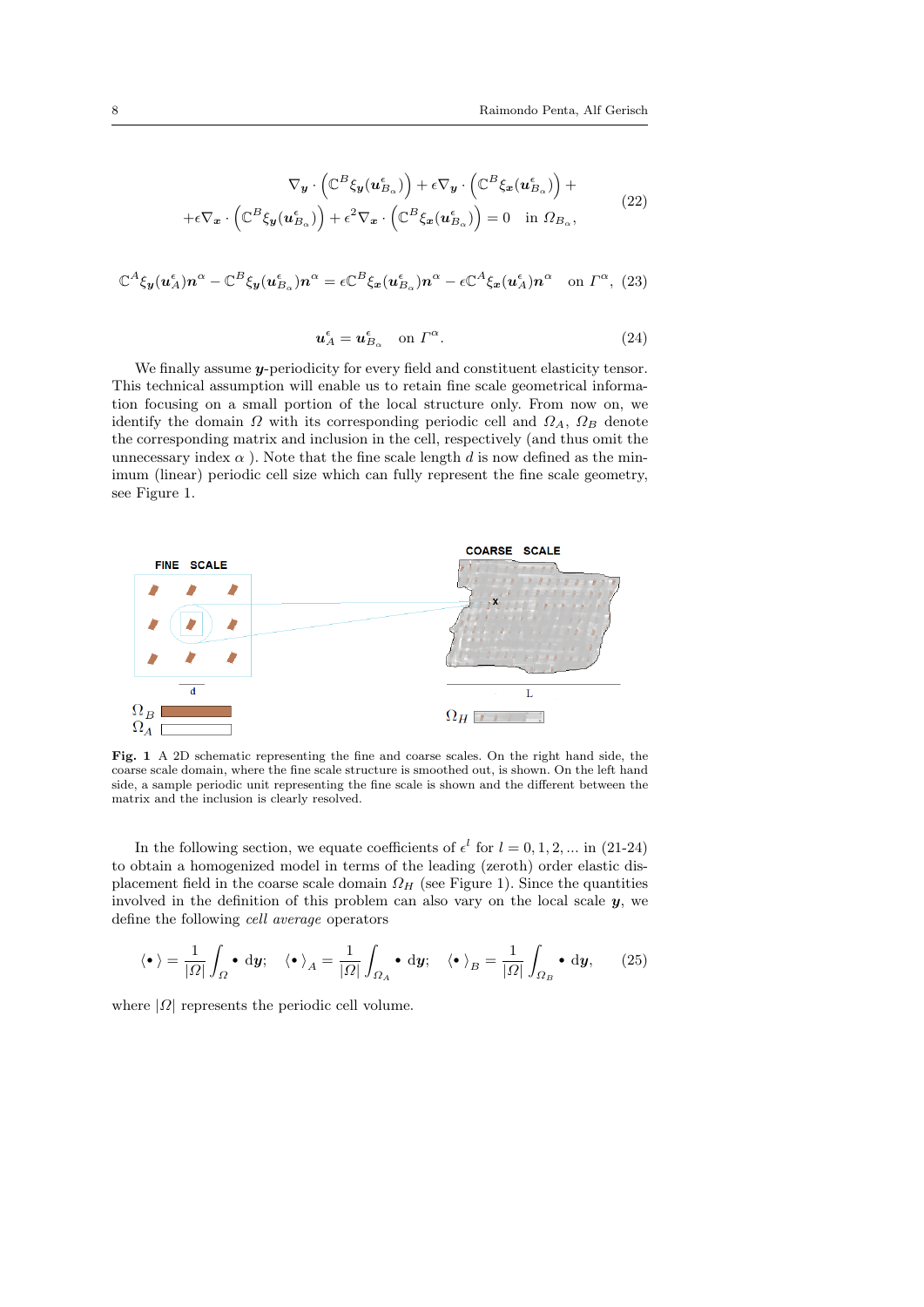$$
\nabla_{\mathbf{y}} \cdot (\mathbb{C}^{B} \xi_{\mathbf{y}}(\mathbf{u}_{B_{\alpha}}^{\epsilon})) + \epsilon \nabla_{\mathbf{y}} \cdot (\mathbb{C}^{B} \xi_{\mathbf{x}}(\mathbf{u}_{B_{\alpha}}^{\epsilon})) + + \epsilon \nabla_{\mathbf{x}} \cdot (\mathbb{C}^{B} \xi_{\mathbf{y}}(\mathbf{u}_{B_{\alpha}}^{\epsilon})) + \epsilon^{2} \nabla_{\mathbf{x}} \cdot (\mathbb{C}^{B} \xi_{\mathbf{x}}(\mathbf{u}_{B_{\alpha}}^{\epsilon})) = 0 \text{ in } \Omega_{B_{\alpha}},
$$
\n(22)

$$
\mathbb{C}^{A}\xi_{\mathbf{y}}(u_{A}^{\epsilon})n^{\alpha} - \mathbb{C}^{B}\xi_{\mathbf{y}}(u_{B_{\alpha}}^{\epsilon})n^{\alpha} = \epsilon \mathbb{C}^{B}\xi_{\mathbf{x}}(u_{B_{\alpha}}^{\epsilon})n^{\alpha} - \epsilon \mathbb{C}^{A}\xi_{\mathbf{x}}(u_{A}^{\epsilon})n^{\alpha} \text{ on } \Gamma^{\alpha}, (23)
$$

$$
\mathbf{u}_A^\epsilon = \mathbf{u}_{B_\alpha}^\epsilon \quad \text{on } \Gamma^\alpha. \tag{24}
$$

We finally assume *y*-periodicity for every field and constituent elasticity tensor. This technical assumption will enable us to retain fine scale geometrical information focusing on a small portion of the local structure only. From now on, we identify the domain  $\Omega$  with its corresponding periodic cell and  $\Omega_A$ ,  $\Omega_B$  denote the corresponding matrix and inclusion in the cell, respectively (and thus omit the unnecessary index  $\alpha$ ). Note that the fine scale length d is now defined as the minimum (linear) periodic cell size which can fully represent the fine scale geometry, see Figure 1.



Fig. 1 A 2D schematic representing the fine and coarse scales. On the right hand side, the coarse scale domain, where the fine scale structure is smoothed out, is shown. On the left hand side, a sample periodic unit representing the fine scale is shown and the different between the matrix and the inclusion is clearly resolved.

In the following section, we equate coefficients of  $\epsilon^l$  for  $l = 0, 1, 2, ...$  in (21-24) to obtain a homogenized model in terms of the leading (zeroth) order elastic displacement field in the coarse scale domain  $\Omega_H$  (see Figure 1). Since the quantities involved in the definition of this problem can also vary on the local scale  $y$ , we define the following cell average operators

$$
\langle \bullet \rangle = \frac{1}{|\Omega|} \int_{\Omega} \bullet \, \mathrm{d}y; \quad \langle \bullet \rangle_A = \frac{1}{|\Omega|} \int_{\Omega_A} \bullet \, \mathrm{d}y; \quad \langle \bullet \rangle_B = \frac{1}{|\Omega|} \int_{\Omega_B} \bullet \, \mathrm{d}y, \tag{25}
$$

where  $|\Omega|$  represents the periodic cell volume.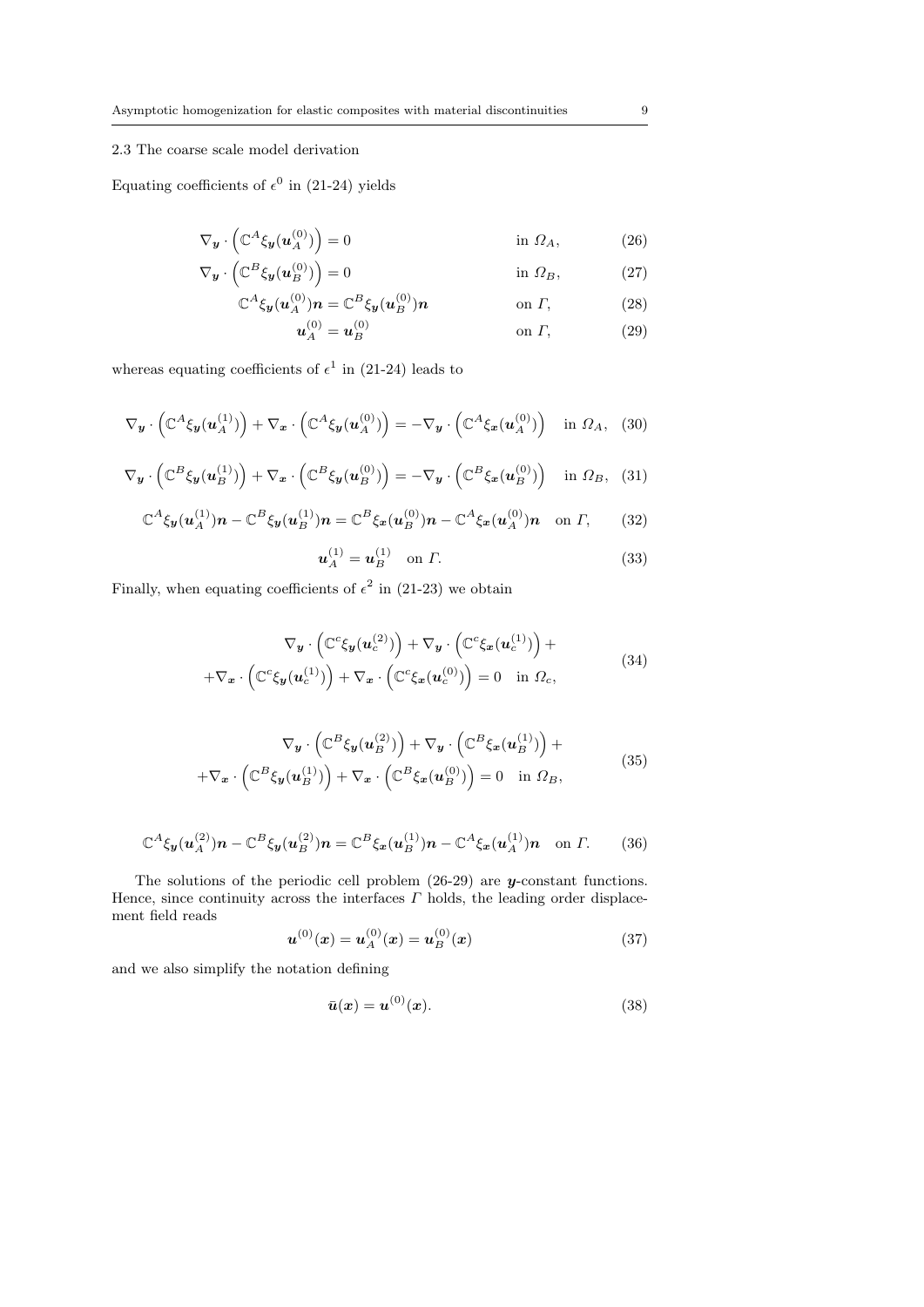## 2.3 The coarse scale model derivation

Equating coefficients of  $\epsilon^0$  in (21-24) yields

$$
\nabla_{\boldsymbol{y}} \cdot \left( \mathbb{C}^{A} \xi_{\boldsymbol{y}}(\boldsymbol{u}_{A}^{(0)}) \right) = 0 \qquad \qquad \text{in } \Omega_{A}, \qquad (26)
$$

$$
\nabla_{\mathbf{y}} \cdot \left( \mathbb{C}^{B} \xi_{\mathbf{y}}(\mathbf{u}_{B}^{(0)}) \right) = 0 \qquad \text{in } \Omega_B, \tag{27}
$$

$$
\mathbb{C}^A \xi_{\mathbf{y}}(\mathbf{u}_A^{(0)}) \mathbf{n} = \mathbb{C}^B \xi_{\mathbf{y}}(\mathbf{u}_B^{(0)}) \mathbf{n} \qquad \text{on } \Gamma,
$$
 (28)

$$
u_A^{(0)} = u_B^{(0)} \t\t \t on \t\Gamma,
$$
\t(29)

whereas equating coefficients of  $\epsilon^1$  in (21-24) leads to

$$
\nabla_{\boldsymbol{y}} \cdot \left( \mathbb{C}^{A} \xi_{\boldsymbol{y}}(\boldsymbol{u}_{A}^{(1)}) \right) + \nabla_{\boldsymbol{x}} \cdot \left( \mathbb{C}^{A} \xi_{\boldsymbol{y}}(\boldsymbol{u}_{A}^{(0)}) \right) = -\nabla_{\boldsymbol{y}} \cdot \left( \mathbb{C}^{A} \xi_{\boldsymbol{x}}(\boldsymbol{u}_{A}^{(0)}) \right) \quad \text{in } \Omega_{A}, \tag{30}
$$

$$
\nabla_{\boldsymbol{y}} \cdot \left( \mathbb{C}^{B} \xi_{\boldsymbol{y}}(\boldsymbol{u}_{B}^{(1)}) \right) + \nabla_{\boldsymbol{x}} \cdot \left( \mathbb{C}^{B} \xi_{\boldsymbol{y}}(\boldsymbol{u}_{B}^{(0)}) \right) = -\nabla_{\boldsymbol{y}} \cdot \left( \mathbb{C}^{B} \xi_{\boldsymbol{x}}(\boldsymbol{u}_{B}^{(0)}) \right) \quad \text{in } \Omega_{B}, \tag{31}
$$

$$
\mathbb{C}^{A}\xi_{\mathbf{y}}(\mathbf{u}_{A}^{(1)})\mathbf{n} - \mathbb{C}^{B}\xi_{\mathbf{y}}(\mathbf{u}_{B}^{(1)})\mathbf{n} = \mathbb{C}^{B}\xi_{\mathbf{x}}(\mathbf{u}_{B}^{(0)})\mathbf{n} - \mathbb{C}^{A}\xi_{\mathbf{x}}(\mathbf{u}_{A}^{(0)})\mathbf{n} \text{ on } \Gamma, \qquad (32)
$$

$$
u_A^{(1)} = u_B^{(1)} \quad \text{on } \Gamma. \tag{33}
$$

Finally, when equating coefficients of  $\epsilon^2$  in (21-23) we obtain

$$
\nabla_{\mathbf{y}} \cdot \left( \mathbb{C}^{c} \xi_{\mathbf{y}}(\mathbf{u}_{c}^{(2)}) \right) + \nabla_{\mathbf{y}} \cdot \left( \mathbb{C}^{c} \xi_{\mathbf{x}}(\mathbf{u}_{c}^{(1)}) \right) + \nabla_{\mathbf{x}} \cdot \left( \mathbb{C}^{c} \xi_{\mathbf{y}}(\mathbf{u}_{c}^{(1)}) \right) + \nabla_{\mathbf{x}} \cdot \left( \mathbb{C}^{c} \xi_{\mathbf{x}}(\mathbf{u}_{c}^{(0)}) \right) = 0 \quad \text{in } \Omega_{c}, \tag{34}
$$

$$
\nabla_{\mathbf{y}} \cdot \left( \mathbb{C}^{B} \xi_{\mathbf{y}}(\mathbf{u}_{B}^{(2)}) \right) + \nabla_{\mathbf{y}} \cdot \left( \mathbb{C}^{B} \xi_{\mathbf{x}}(\mathbf{u}_{B}^{(1)}) \right) + \n+ \nabla_{\mathbf{x}} \cdot \left( \mathbb{C}^{B} \xi_{\mathbf{y}}(\mathbf{u}_{B}^{(1)}) \right) + \nabla_{\mathbf{x}} \cdot \left( \mathbb{C}^{B} \xi_{\mathbf{x}}(\mathbf{u}_{B}^{(0)}) \right) = 0 \text{ in } \Omega_{B},
$$
\n(35)

$$
\mathbb{C}^{A}\xi_{\mathbf{y}}(\mathbf{u}_{A}^{(2)})\mathbf{n} - \mathbb{C}^{B}\xi_{\mathbf{y}}(\mathbf{u}_{B}^{(2)})\mathbf{n} = \mathbb{C}^{B}\xi_{\mathbf{x}}(\mathbf{u}_{B}^{(1)})\mathbf{n} - \mathbb{C}^{A}\xi_{\mathbf{x}}(\mathbf{u}_{A}^{(1)})\mathbf{n} \text{ on } \Gamma. \tag{36}
$$

The solutions of the periodic cell problem  $(26-29)$  are y-constant functions. Hence, since continuity across the interfaces  $\Gamma$  holds, the leading order displacement field reads

$$
\boldsymbol{u}^{(0)}(x) = \boldsymbol{u}_A^{(0)}(x) = \boldsymbol{u}_B^{(0)}(x) \tag{37}
$$

and we also simplify the notation defining

$$
\bar{u}(x) = u^{(0)}(x). \tag{38}
$$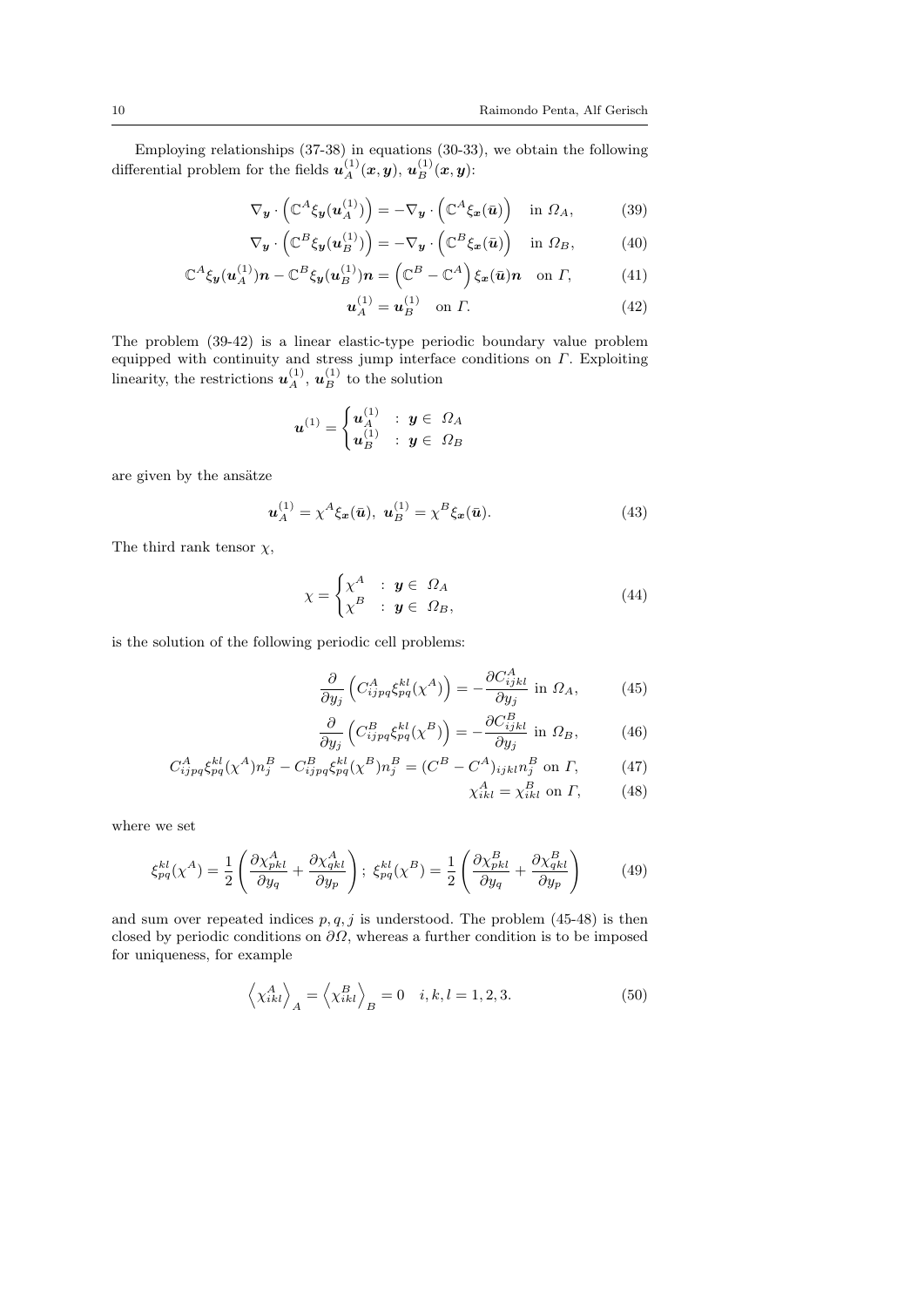Employing relationships (37-38) in equations (30-33), we obtain the following differential problem for the fields  $\boldsymbol{u}_A^{(1)}(\boldsymbol{x},\boldsymbol{y}), \, \boldsymbol{u}_B^{(1)}(\boldsymbol{x},\boldsymbol{y})$ :

$$
\nabla_{\boldsymbol{y}} \cdot \left( \mathbb{C}^{A} \xi_{\boldsymbol{y}}(\boldsymbol{u}_{A}^{(1)}) \right) = -\nabla_{\boldsymbol{y}} \cdot \left( \mathbb{C}^{A} \xi_{\boldsymbol{x}}(\bar{\boldsymbol{u}}) \right) \quad \text{in } \Omega_{A}, \tag{39}
$$

$$
\nabla_{\mathbf{y}} \cdot \left( \mathbb{C}^{B} \xi_{\mathbf{y}}(\mathbf{u}_{B}^{(1)}) \right) = -\nabla_{\mathbf{y}} \cdot \left( \mathbb{C}^{B} \xi_{\mathbf{x}}(\bar{\mathbf{u}}) \right) \quad \text{in } \Omega_{B}, \tag{40}
$$

$$
\mathbb{C}^A \xi_{\mathbf{y}}(\mathbf{u}_A^{(1)}) \mathbf{n} - \mathbb{C}^B \xi_{\mathbf{y}}(\mathbf{u}_B^{(1)}) \mathbf{n} = \left(\mathbb{C}^B - \mathbb{C}^A\right) \xi_{\mathbf{x}}(\bar{\mathbf{u}}) \mathbf{n} \quad \text{on } \Gamma, \tag{41}
$$

$$
u_A^{(1)} = u_B^{(1)} \quad \text{on } \Gamma. \tag{42}
$$

The problem (39-42) is a linear elastic-type periodic boundary value problem equipped with continuity and stress jump interface conditions on  $\Gamma$ . Exploiting linearity, the restrictions  $u_A^{(1)}, u_B^{(1)}$  to the solution

$$
\boldsymbol{u}^{(1)} = \begin{cases} \boldsymbol{u}_A^{(1)} & : \ \boldsymbol{y} \in \ \Omega_A \\ \boldsymbol{u}_B^{(1)} & : \ \boldsymbol{y} \in \ \Omega_B \end{cases}
$$

are given by the ansätze

$$
\mathbf{u}_A^{(1)} = \chi^A \xi_x(\bar{\mathbf{u}}), \ \mathbf{u}_B^{(1)} = \chi^B \xi_x(\bar{\mathbf{u}}). \tag{43}
$$

The third rank tensor  $\chi$ ,

$$
\chi = \begin{cases} \chi^A & : \mathbf{y} \in \Omega_A \\ \chi^B & : \mathbf{y} \in \Omega_B, \end{cases} \tag{44}
$$

is the solution of the following periodic cell problems:

$$
\frac{\partial}{\partial y_j} \left( C^A_{ijpq} \xi^{kl}_{pq} (\chi^A) \right) = -\frac{\partial C^A_{ijkl}}{\partial y_j} \text{ in } \Omega_A,\tag{45}
$$

$$
\frac{\partial}{\partial y_j} \left( C_{ijpq}^B \xi_{pq}^{kl} (\chi^B) \right) = -\frac{\partial C_{ijkl}^B}{\partial y_j} \text{ in } \Omega_B,
$$
 (46)

$$
C_{ijpq}^{A} \xi_{pq}^{kl} (\chi^A) n_j^B - C_{ijpq}^{B} \xi_{pq}^{kl} (\chi^B) n_j^B = (C^B - C^A)_{ijkl} n_j^B \text{ on } \Gamma, \tag{47}
$$

$$
\chi_{ikl}^A = \chi_{ikl}^B \text{ on } \Gamma,\qquad(48)
$$

where we set

$$
\xi_{pq}^{kl}(\chi^A) = \frac{1}{2} \left( \frac{\partial \chi_{pkl}^A}{\partial y_q} + \frac{\partial \chi_{qkl}^A}{\partial y_p} \right); \ \xi_{pq}^{kl}(\chi^B) = \frac{1}{2} \left( \frac{\partial \chi_{pkl}^B}{\partial y_q} + \frac{\partial \chi_{qkl}^B}{\partial y_p} \right) \tag{49}
$$

and sum over repeated indices  $p, q, j$  is understood. The problem (45-48) is then closed by periodic conditions on  $\partial\Omega$ , whereas a further condition is to be imposed for uniqueness, for example

$$
\left\langle \chi_{ikl}^{A} \right\rangle_{A} = \left\langle \chi_{ikl}^{B} \right\rangle_{B} = 0 \quad i, k, l = 1, 2, 3. \tag{50}
$$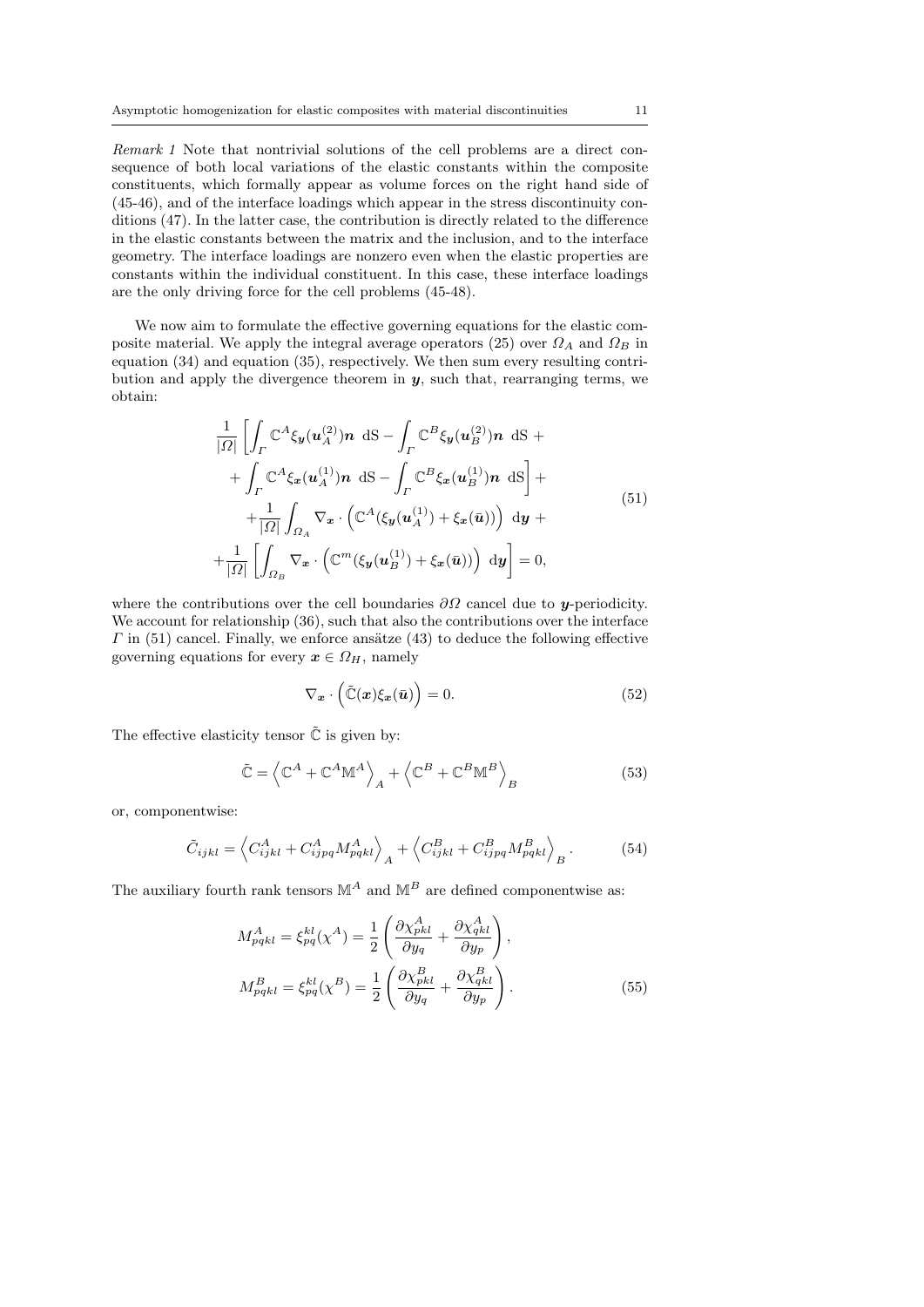Remark 1 Note that nontrivial solutions of the cell problems are a direct consequence of both local variations of the elastic constants within the composite constituents, which formally appear as volume forces on the right hand side of (45-46), and of the interface loadings which appear in the stress discontinuity conditions (47). In the latter case, the contribution is directly related to the difference in the elastic constants between the matrix and the inclusion, and to the interface geometry. The interface loadings are nonzero even when the elastic properties are constants within the individual constituent. In this case, these interface loadings are the only driving force for the cell problems (45-48).

We now aim to formulate the effective governing equations for the elastic composite material. We apply the integral average operators (25) over  $\Omega_A$  and  $\Omega_B$  in equation (34) and equation (35), respectively. We then sum every resulting contribution and apply the divergence theorem in  $y$ , such that, rearranging terms, we obtain:

$$
\frac{1}{|\Omega|} \left[ \int_{\Gamma} \mathbb{C}^{A} \xi_{\mathbf{y}}(\mathbf{u}_{A}^{(2)}) \mathbf{n} \, \mathrm{dS} - \int_{\Gamma} \mathbb{C}^{B} \xi_{\mathbf{y}}(\mathbf{u}_{B}^{(2)}) \mathbf{n} \, \mathrm{dS} + \right. \\
\left. + \int_{\Gamma} \mathbb{C}^{A} \xi_{\mathbf{x}}(\mathbf{u}_{A}^{(1)}) \mathbf{n} \, \mathrm{dS} - \int_{\Gamma} \mathbb{C}^{B} \xi_{\mathbf{x}}(\mathbf{u}_{B}^{(1)}) \mathbf{n} \, \mathrm{dS} \right] + \\
\left. + \frac{1}{|\Omega|} \int_{\Omega_{A}} \nabla_{\mathbf{x}} \cdot \left( \mathbb{C}^{A} (\xi_{\mathbf{y}}(\mathbf{u}_{A}^{(1)}) + \xi_{\mathbf{x}}(\bar{\mathbf{u}})) \right) \, \mathrm{d}\mathbf{y} + \right. \\
\left. + \frac{1}{|\Omega|} \left[ \int_{\Omega_{B}} \nabla_{\mathbf{x}} \cdot \left( \mathbb{C}^{m} (\xi_{\mathbf{y}}(\mathbf{u}_{B}^{(1)}) + \xi_{\mathbf{x}}(\bar{\mathbf{u}})) \right) \, \mathrm{d}\mathbf{y} \right] = 0,
$$
\n(51)

where the contributions over the cell boundaries  $\partial\Omega$  cancel due to y-periodicity. We account for relationship  $(36)$ , such that also the contributions over the interface  $\Gamma$  in (51) cancel. Finally, we enforce ansätze (43) to deduce the following effective governing equations for every  $x \in \Omega_H$ , namely

$$
\nabla_{\boldsymbol{x}} \cdot \left( \tilde{\mathbb{C}}(\boldsymbol{x}) \xi_{\boldsymbol{x}}(\bar{\boldsymbol{u}}) \right) = 0. \tag{52}
$$

The effective elasticity tensor  $\tilde{\mathbb{C}}$  is given by:

$$
\tilde{\mathbb{C}} = \left\langle \mathbb{C}^A + \mathbb{C}^A \mathbb{M}^A \right\rangle_A + \left\langle \mathbb{C}^B + \mathbb{C}^B \mathbb{M}^B \right\rangle_B \tag{53}
$$

or, componentwise:

$$
\tilde{C}_{ijkl} = \left\langle C_{ijkl}^A + C_{ijpq}^A M_{pqkl}^A \right\rangle_A + \left\langle C_{ijkl}^B + C_{ijpq}^B M_{pqkl}^B \right\rangle_B. \tag{54}
$$

The auxiliary fourth rank tensors  $\mathbb{M}^A$  and  $\mathbb{M}^B$  are defined componentwise as:

$$
M_{pqkl}^A = \xi_{pq}^{kl}(\chi^A) = \frac{1}{2} \left( \frac{\partial \chi_{pkl}^A}{\partial y_q} + \frac{\partial \chi_{qkl}^A}{\partial y_p} \right),
$$
  

$$
M_{pqkl}^B = \xi_{pq}^{kl}(\chi^B) = \frac{1}{2} \left( \frac{\partial \chi_{pkl}^B}{\partial y_q} + \frac{\partial \chi_{qkl}^B}{\partial y_p} \right).
$$
 (55)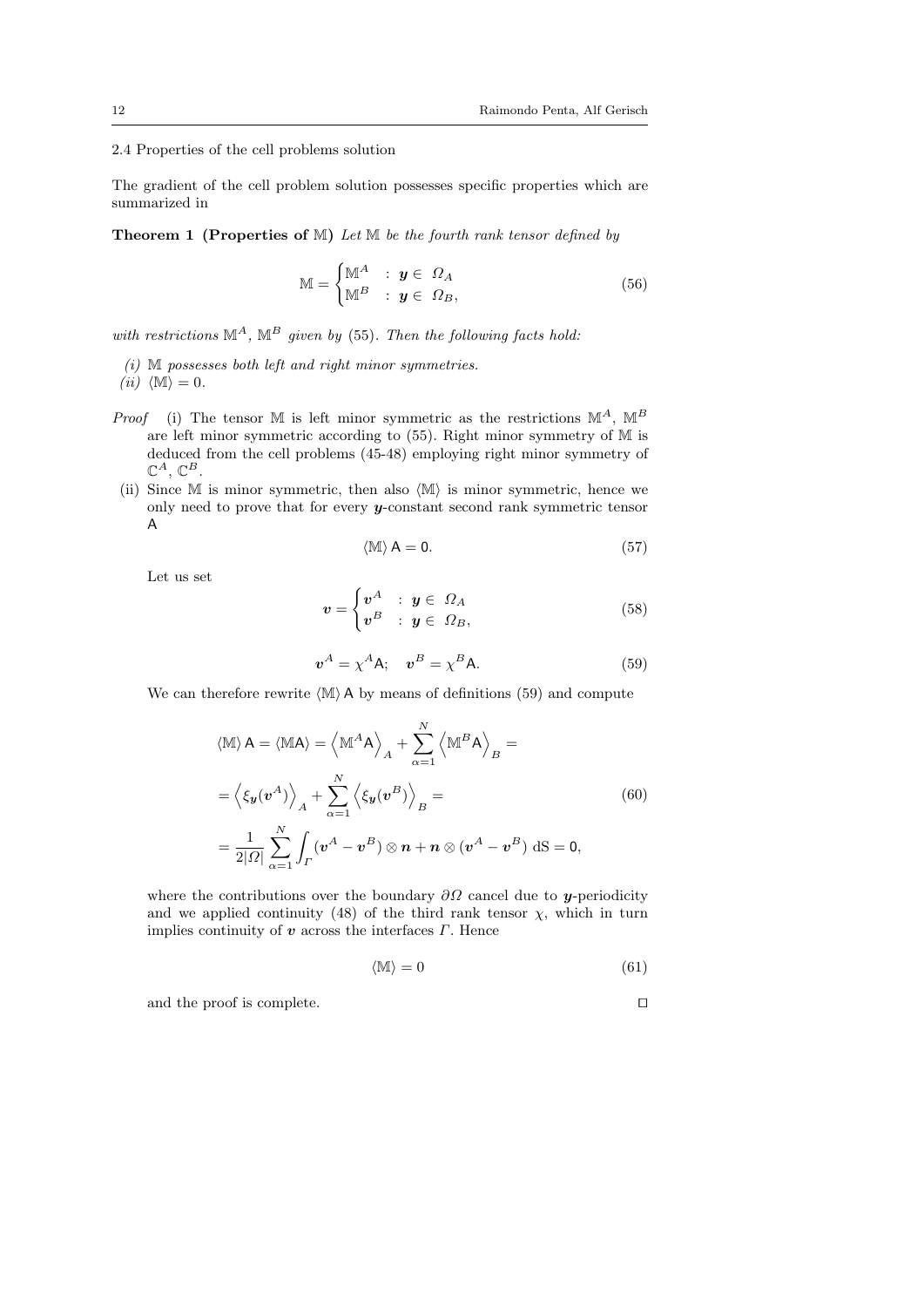### 2.4 Properties of the cell problems solution

The gradient of the cell problem solution possesses specific properties which are summarized in

**Theorem 1 (Properties of M)** Let  $M$  be the fourth rank tensor defined by

$$
\mathbb{M} = \begin{cases} \mathbb{M}^A & : \mathbf{y} \in \Omega_A \\ \mathbb{M}^B & : \mathbf{y} \in \Omega_B, \end{cases}
$$
 (56)

with restrictions  $\mathbb{M}^A$ ,  $\mathbb{M}^B$  given by (55). Then the following facts hold:

(i) M possesses both left and right minor symmetries.

(*ii*)  $\langle M \rangle = 0$ .

- *Proof* (i) The tensor M is left minor symmetric as the restrictions  $\mathbb{M}^{A}$ ,  $\mathbb{M}^{B}$ are left minor symmetric according to (55). Right minor symmetry of M is deduced from the cell problems (45-48) employing right minor symmetry of  $\mathbb{C}^A, \, \mathbb{C}^B.$
- (ii) Since  $M$  is minor symmetric, then also  $\langle M \rangle$  is minor symmetric, hence we only need to prove that for every y-constant second rank symmetric tensor A

$$
\langle \mathbb{M} \rangle \mathsf{A} = \mathsf{0}. \tag{57}
$$

Let us set

$$
\mathbf{v} = \begin{cases} \mathbf{v}^A & : \mathbf{y} \in \Omega_A \\ \mathbf{v}^B & : \mathbf{y} \in \Omega_B, \end{cases} \tag{58}
$$

$$
\boldsymbol{v}^A = \chi^A \mathsf{A}; \quad \boldsymbol{v}^B = \chi^B \mathsf{A}.\tag{59}
$$

We can therefore rewrite  $\langle M \rangle$  A by means of definitions (59) and compute

$$
\langle \mathbb{M} \rangle \mathsf{A} = \langle \mathbb{M} \mathsf{A} \rangle = \left\langle \mathbb{M}^A \mathsf{A} \right\rangle_A + \sum_{\alpha=1}^N \left\langle \mathbb{M}^B \mathsf{A} \right\rangle_B =
$$
  
=  $\left\langle \xi_{\mathbf{y}}(\mathbf{v}^A) \right\rangle_A + \sum_{\alpha=1}^N \left\langle \xi_{\mathbf{y}}(\mathbf{v}^B) \right\rangle_B =$  (60)  
=  $\frac{1}{2|\Omega|} \sum_{\alpha=1}^N \int_{\Gamma} (\mathbf{v}^A - \mathbf{v}^B) \otimes \mathbf{n} + \mathbf{n} \otimes (\mathbf{v}^A - \mathbf{v}^B) \, d\mathbf{S} = 0,$ 

where the contributions over the boundary  $\partial\Omega$  cancel due to y-periodicity and we applied continuity (48) of the third rank tensor  $\chi$ , which in turn implies continuity of  $\boldsymbol{v}$  across the interfaces  $\boldsymbol{\Gamma}$ . Hence

$$
\langle \mathbb{M} \rangle = 0 \tag{61}
$$

and the proof is complete.  $\Box$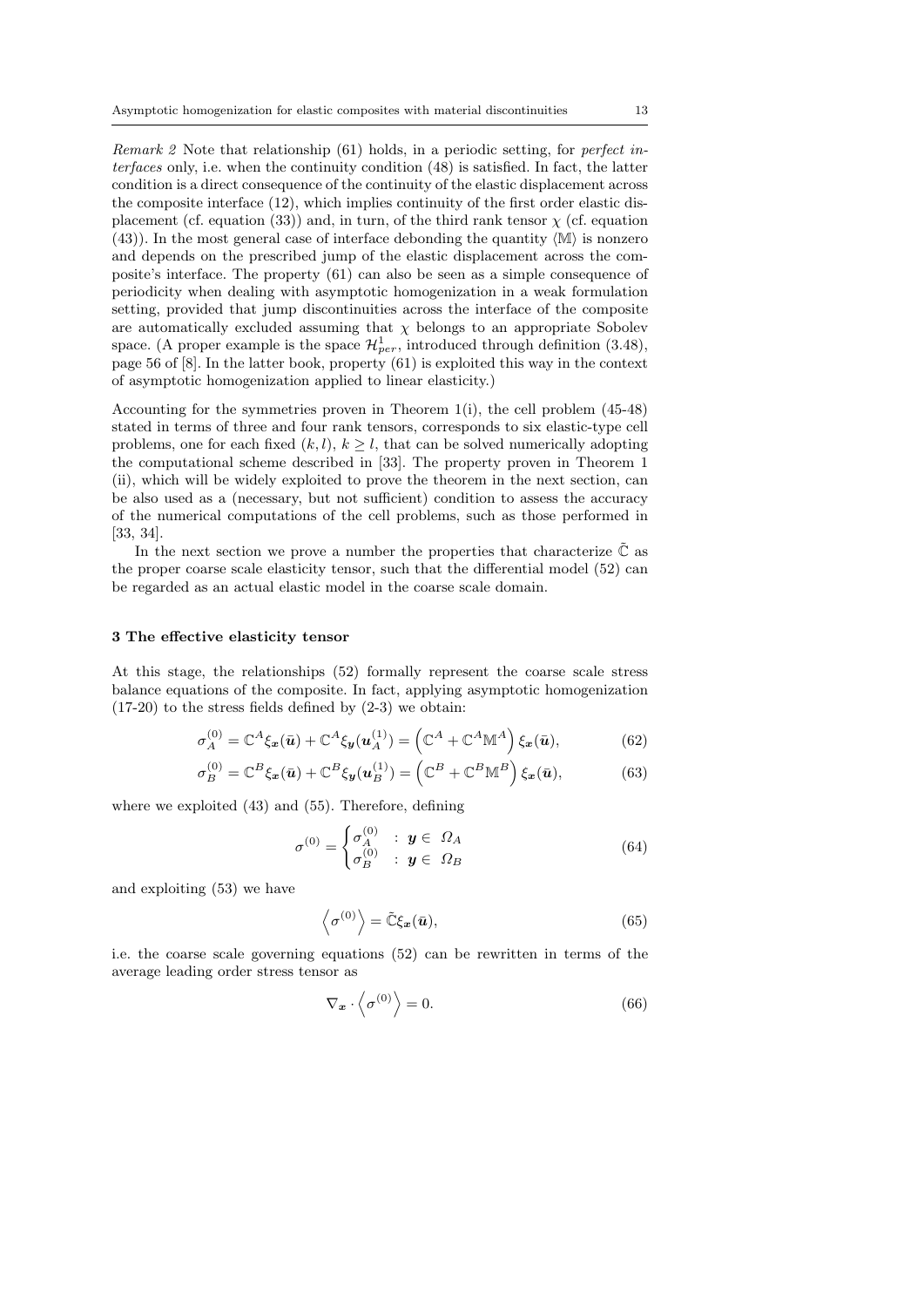Remark 2 Note that relationship (61) holds, in a periodic setting, for perfect interfaces only, i.e. when the continuity condition (48) is satisfied. In fact, the latter condition is a direct consequence of the continuity of the elastic displacement across the composite interface (12), which implies continuity of the first order elastic displacement (cf. equation (33)) and, in turn, of the third rank tensor  $\chi$  (cf. equation  $(43)$ ). In the most general case of interface debonding the quantity  $\langle M \rangle$  is nonzero and depends on the prescribed jump of the elastic displacement across the composite's interface. The property (61) can also be seen as a simple consequence of periodicity when dealing with asymptotic homogenization in a weak formulation setting, provided that jump discontinuities across the interface of the composite are automatically excluded assuming that  $\chi$  belongs to an appropriate Sobolev space. (A proper example is the space  $\mathcal{H}_{per}^1$ , introduced through definition (3.48), page 56 of [8]. In the latter book, property (61) is exploited this way in the context of asymptotic homogenization applied to linear elasticity.)

Accounting for the symmetries proven in Theorem 1(i), the cell problem  $(45-48)$ stated in terms of three and four rank tensors, corresponds to six elastic-type cell problems, one for each fixed  $(k, l)$ ,  $k \geq l$ , that can be solved numerically adopting the computational scheme described in [33]. The property proven in Theorem 1 (ii), which will be widely exploited to prove the theorem in the next section, can be also used as a (necessary, but not sufficient) condition to assess the accuracy of the numerical computations of the cell problems, such as those performed in [33, 34].

In the next section we prove a number the properties that characterize  $\mathbb C$  as the proper coarse scale elasticity tensor, such that the differential model (52) can be regarded as an actual elastic model in the coarse scale domain.

#### 3 The effective elasticity tensor

At this stage, the relationships (52) formally represent the coarse scale stress balance equations of the composite. In fact, applying asymptotic homogenization  $(17-20)$  to the stress fields defined by  $(2-3)$  we obtain:

$$
\sigma_A^{(0)} = \mathbb{C}^A \xi_x(\bar{u}) + \mathbb{C}^A \xi_y(u_A^{(1)}) = \left(\mathbb{C}^A + \mathbb{C}^A \mathbb{M}^A\right) \xi_x(\bar{u}),\tag{62}
$$

$$
\sigma_B^{(0)} = \mathbb{C}^B \xi_x(\bar{u}) + \mathbb{C}^B \xi_y(u_B^{(1)}) = \left(\mathbb{C}^B + \mathbb{C}^B \mathbb{M}^B\right) \xi_x(\bar{u}),\tag{63}
$$

where we exploited (43) and (55). Therefore, defining

$$
\sigma^{(0)} = \begin{cases} \sigma_A^{(0)} & : \mathbf{y} \in \Omega_A \\ \sigma_B^{(0)} & : \mathbf{y} \in \Omega_B \end{cases} \tag{64}
$$

and exploiting (53) we have

$$
\left\langle \sigma^{(0)} \right\rangle = \tilde{\mathbb{C}} \xi_x(\bar{\boldsymbol{u}}),\tag{65}
$$

i.e. the coarse scale governing equations (52) can be rewritten in terms of the average leading order stress tensor as

$$
\nabla_{\mathbf{x}} \cdot \left\langle \sigma^{(0)} \right\rangle = 0. \tag{66}
$$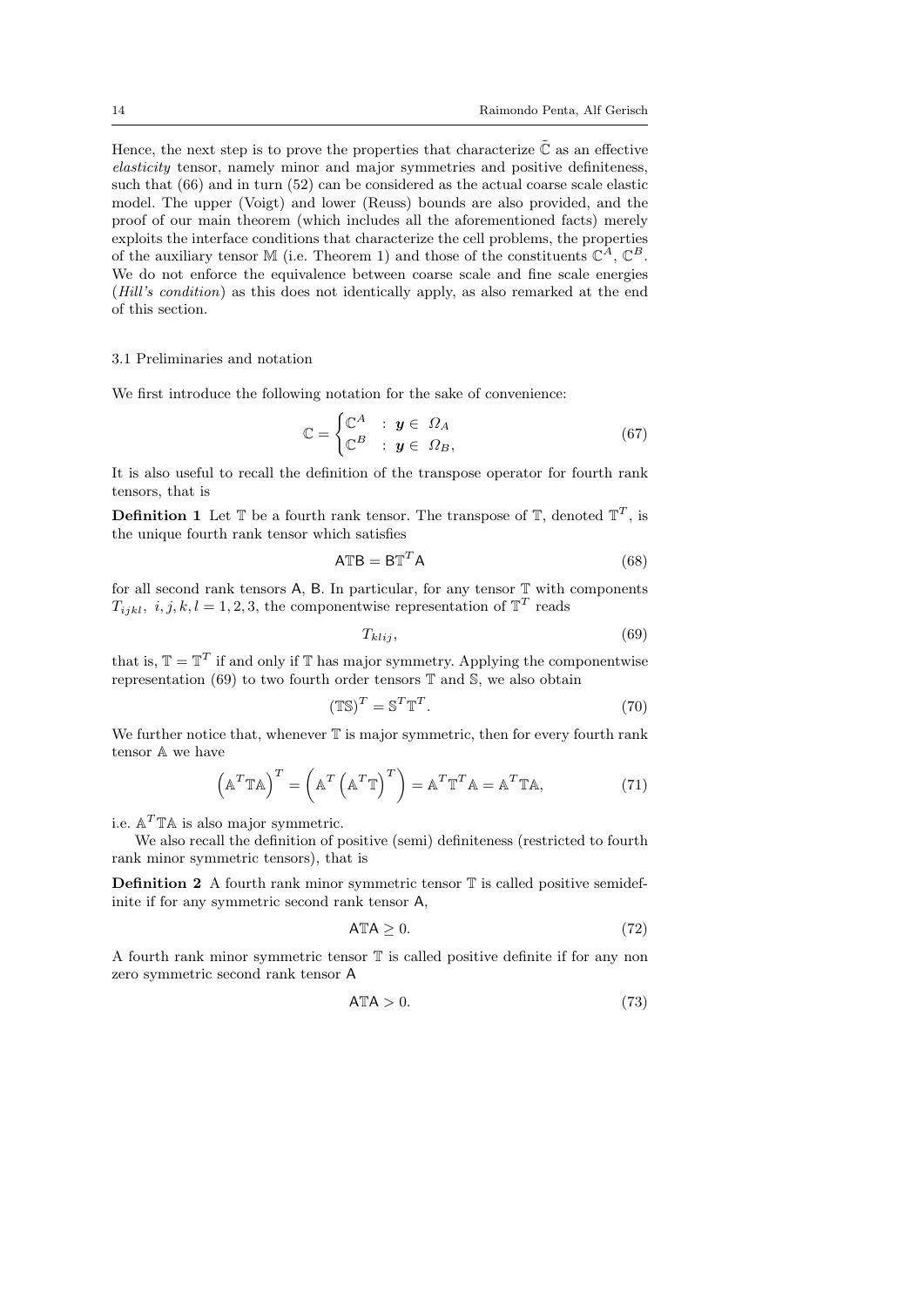Hence, the next step is to prove the properties that characterize  $\tilde{\mathbb{C}}$  as an effective elasticity tensor, namely minor and major symmetries and positive definiteness, such that (66) and in turn (52) can be considered as the actual coarse scale elastic model. The upper (Voigt) and lower (Reuss) bounds are also provided, and the proof of our main theorem (which includes all the aforementioned facts) merely exploits the interface conditions that characterize the cell problems, the properties of the auxiliary tensor M (i.e. Theorem 1) and those of the constituents  $\mathbb{C}^{A}$ ,  $\mathbb{C}^{B}$ . We do not enforce the equivalence between coarse scale and fine scale energies (Hill's condition) as this does not identically apply, as also remarked at the end of this section.

#### 3.1 Preliminaries and notation

We first introduce the following notation for the sake of convenience:

$$
\mathbb{C} = \begin{cases} \mathbb{C}^A & : \mathbf{y} \in \Omega_A \\ \mathbb{C}^B & : \mathbf{y} \in \Omega_B, \end{cases}
$$
 (67)

It is also useful to recall the definition of the transpose operator for fourth rank tensors, that is

**Definition 1** Let  $\mathbb{T}$  be a fourth rank tensor. The transpose of  $\mathbb{T}$ , denoted  $\mathbb{T}^T$ , is the unique fourth rank tensor which satisfies

$$
A \mathbb{T}B = B \mathbb{T}^T A \tag{68}
$$

for all second rank tensors  $A$ ,  $B$ . In particular, for any tensor  $\mathbb T$  with components  $T_{ijkl}$ ,  $i, j, k, l = 1, 2, 3$ , the componentwise representation of  $\mathbb{T}^T$  reads

$$
T_{klij},\tag{69}
$$

that is,  $\mathbb{T} = \mathbb{T}^T$  if and only if  $\mathbb{T}$  has major symmetry. Applying the componentwise representation (69) to two fourth order tensors  $\mathbb T$  and  $\mathbb S$ , we also obtain

$$
(\mathbb{TS})^T = \mathbb{S}^T \mathbb{T}^T. \tag{70}
$$

We further notice that, whenever  $T$  is major symmetric, then for every fourth rank tensor A we have

$$
\left(\mathbb{A}^T \mathbb{T} \mathbb{A}\right)^T = \left(\mathbb{A}^T \left(\mathbb{A}^T \mathbb{T}\right)^T\right) = \mathbb{A}^T \mathbb{T}^T \mathbb{A} = \mathbb{A}^T \mathbb{T} \mathbb{A},\tag{71}
$$

i.e.  $\mathbb{A}^T \mathbb{T} \mathbb{A}$  is also major symmetric.

We also recall the definition of positive (semi) definiteness (restricted to fourth rank minor symmetric tensors), that is

**Definition 2** A fourth rank minor symmetric tensor  $\mathbb{T}$  is called positive semidefinite if for any symmetric second rank tensor A,

$$
ATA \geq 0. \tag{72}
$$

A fourth rank minor symmetric tensor T is called positive definite if for any non zero symmetric second rank tensor A

$$
A \mathbb{T} A > 0. \tag{73}
$$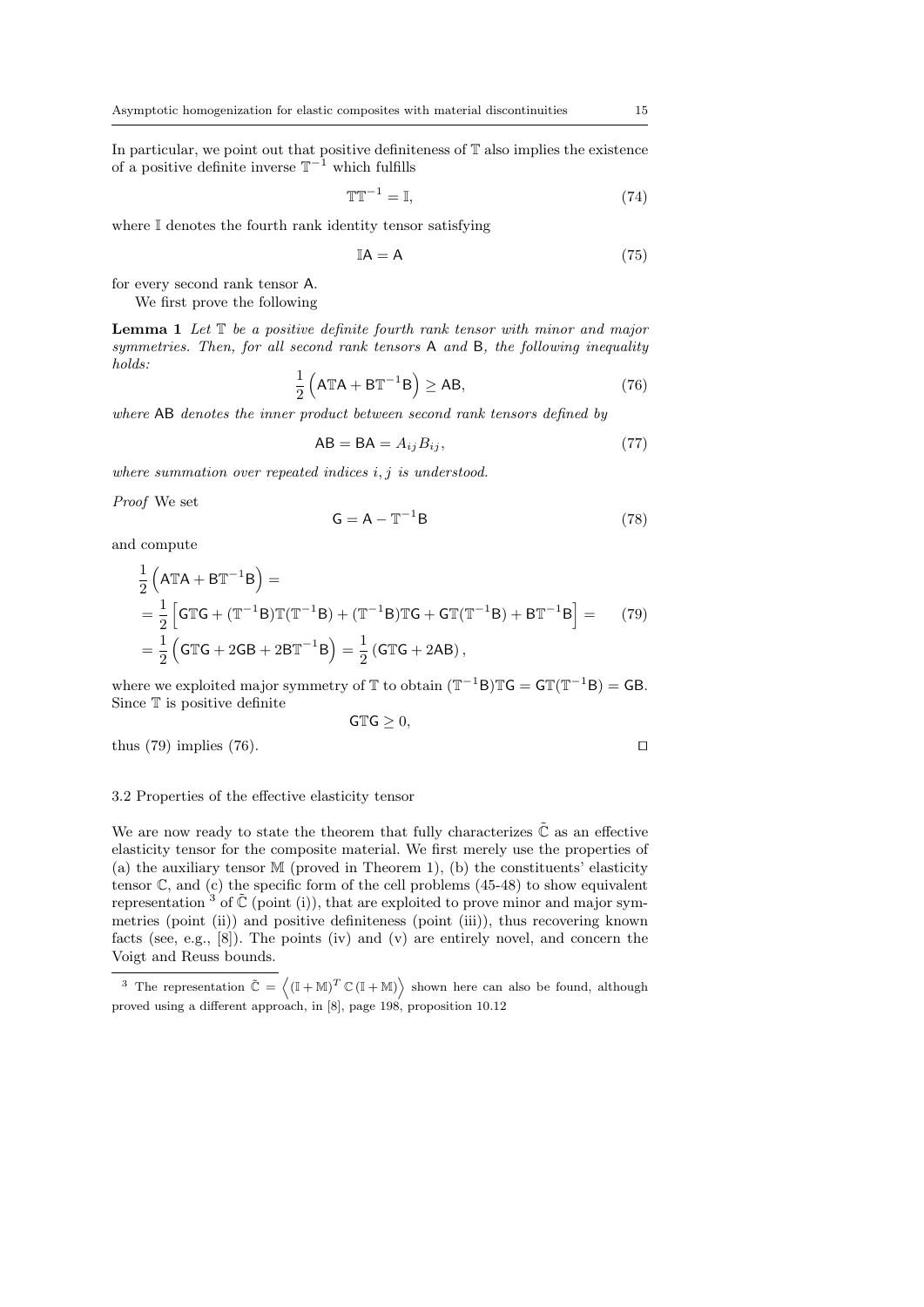In particular, we point out that positive definiteness of  $\mathbb T$  also implies the existence of a positive definite inverse  $T^{-1}$  which fulfills

$$
\mathbb{T}\mathbb{T}^{-1} = \mathbb{I},\tag{74}
$$

where  $\mathbb I$  denotes the fourth rank identity tensor satisfying

$$
\mathbb{I}\mathsf{A} = \mathsf{A} \tag{75}
$$

for every second rank tensor A.

We first prove the following

**Lemma 1** Let  $T$  be a positive definite fourth rank tensor with minor and major symmetries. Then, for all second rank tensors A and B, the following inequality holds:

$$
\frac{1}{2} \left( A \mathbb{T} A + B \mathbb{T}^{-1} B \right) \ge AB,
$$
\n(76)

where AB denotes the inner product between second rank tensors defined by

$$
AB = BA = A_{ij}B_{ij},\tag{77}
$$

where summation over repeated indices  $i, j$  is understood.

Proof We set

$$
G = A - T^{-1}B \tag{78}
$$

and compute

$$
\frac{1}{2} (ATA + BT^{-1}B) =
$$
\n
$$
= \frac{1}{2} [GTG + (T^{-1}B)T(T^{-1}B) + (T^{-1}B)TG + GT(T^{-1}B) + BT^{-1}B] = (79)
$$
\n
$$
= \frac{1}{2} (GTG + 2GB + 2BT^{-1}B) = \frac{1}{2} (GTG + 2AB),
$$

where we exploited major symmetry of  $\mathbb T$  to obtain  $(\mathbb T^{-1}B)\mathbb T G = \mathsf{GT}(\mathbb T^{-1}B) = \mathsf{GB}.$ Since  $T$  is positive definite

$$
\mathsf{GTG}\geq 0,
$$

thus  $(79)$  implies  $(76)$ .

#### 3.2 Properties of the effective elasticity tensor

We are now ready to state the theorem that fully characterizes  $\tilde{\mathbb{C}}$  as an effective elasticity tensor for the composite material. We first merely use the properties of (a) the auxiliary tensor M (proved in Theorem 1), (b) the constituents' elasticity tensor  $\mathbb{C}$ , and (c) the specific form of the cell problems (45-48) to show equivalent representation  $3$  of  $\tilde{\mathbb{C}}$  (point (i)), that are exploited to prove minor and major symmetries (point (ii)) and positive definiteness (point (iii)), thus recovering known facts (see, e.g., [8]). The points (iv) and (v) are entirely novel, and concern the Voigt and Reuss bounds.

<sup>&</sup>lt;sup>3</sup> The representation  $\tilde{C} = \langle (\mathbb{I} + \mathbb{M})^T \mathbb{C} (\mathbb{I} + \mathbb{M}) \rangle$  shown here can also be found, although proved using a different approach, in [8], page 198, proposition 10.12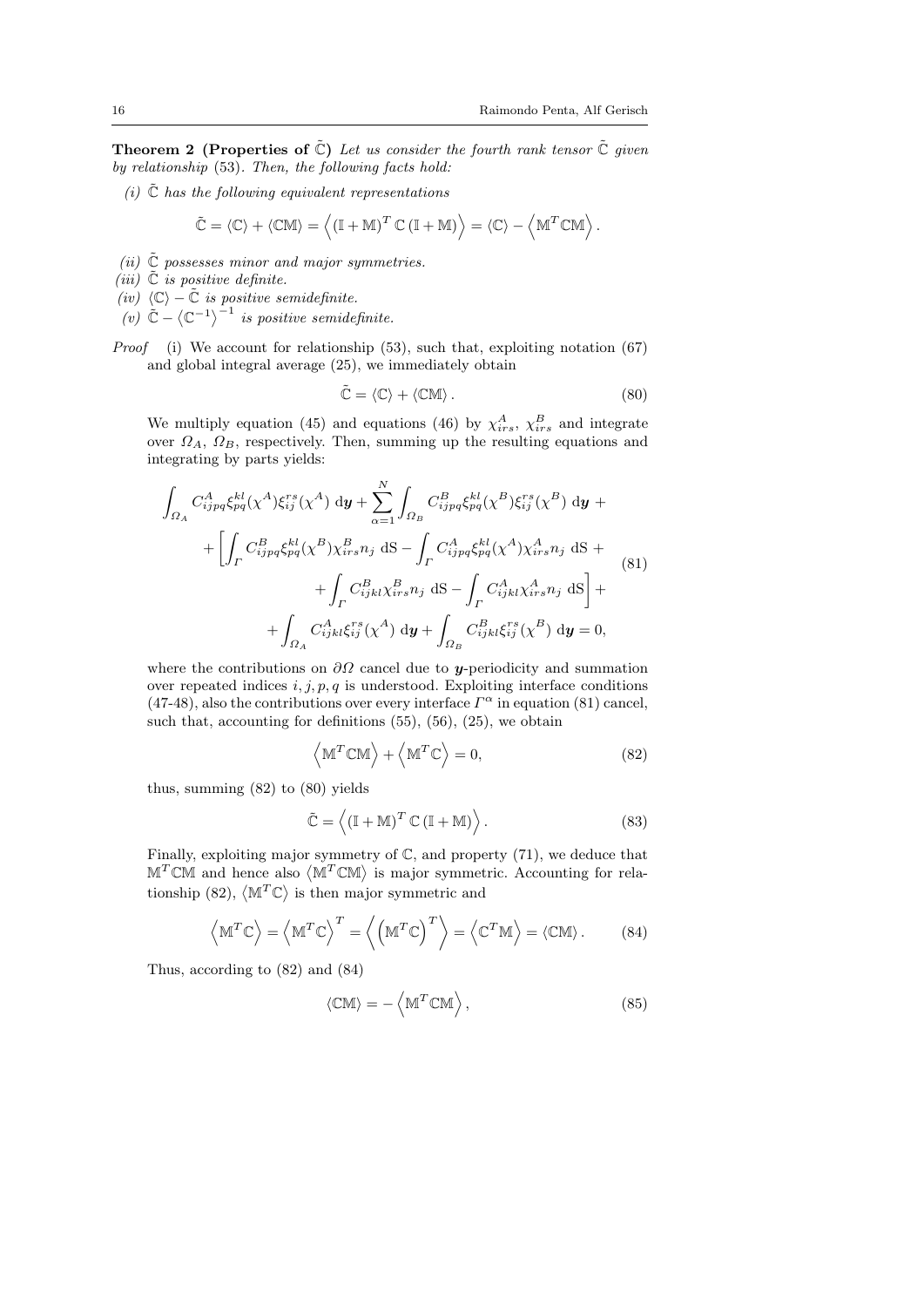**Theorem 2** (Properties of  $\tilde{C}$ ) Let us consider the fourth rank tensor  $\tilde{C}$  given by relationship (53). Then, the following facts hold:

(i)  $\tilde{C}$  has the following equivalent representations

$$
\tilde{\mathbb{C}} = \langle \mathbb{C} \rangle + \langle \mathbb{C} \mathbb{M} \rangle = \left\langle \left( \mathbb{I} + \mathbb{M} \right)^T \mathbb{C} \left( \mathbb{I} + \mathbb{M} \right) \right\rangle = \langle \mathbb{C} \rangle - \left\langle \mathbb{M}^T \mathbb{C} \mathbb{M} \right\rangle.
$$

- (ii)  $\tilde{C}$  possesses minor and major symmetries.
- (iii)  $\tilde{C}$  is positive definite.
- $(iv)$   $\langle \mathbb{C} \rangle \tilde{\mathbb{C}}$  is positive semidefinite.
- (v)  $\tilde{\mathbb{C}} \langle \mathbb{C}^{-1} \rangle^{-1}$  is positive semidefinite.
- *Proof* (i) We account for relationship  $(53)$ , such that, exploiting notation  $(67)$ and global integral average (25), we immediately obtain

$$
\tilde{\mathbb{C}} = \langle \mathbb{C} \rangle + \langle \mathbb{C} \mathbb{M} \rangle. \tag{80}
$$

We multiply equation (45) and equations (46) by  $\chi^A_{irs}$ ,  $\chi^B_{irs}$  and integrate over  $\Omega_A$ ,  $\Omega_B$ , respectively. Then, summing up the resulting equations and integrating by parts yields:

$$
\int_{\Omega_{A}} C_{ijpq}^{A} \xi_{pq}^{kl}(\chi^{A}) \xi_{ij}^{rs}(\chi^{A}) d\mathbf{y} + \sum_{\alpha=1}^{N} \int_{\Omega_{B}} C_{ijpq}^{B} \xi_{pq}^{kl}(\chi^{B}) \xi_{ij}^{rs}(\chi^{B}) d\mathbf{y} + \n+ \left[ \int_{\Gamma} C_{ijpq}^{B} \xi_{pq}^{kl}(\chi^{B}) \chi_{irs}^{B} n_{j} dS - \int_{\Gamma} C_{ijpq}^{A} \xi_{pq}^{kl}(\chi^{A}) \chi_{irs}^{A} n_{j} dS + \n+ \int_{\Gamma} C_{ijkl}^{B} \chi_{irs}^{B} n_{j} dS - \int_{\Gamma} C_{ijkl}^{A} \chi_{irs}^{A} n_{j} dS \right] + \n+ \int_{\Omega_{A}} C_{ijkl}^{A} \xi_{ij}^{rs}(\chi^{A}) d\mathbf{y} + \int_{\Omega_{B}} C_{ijkl}^{B} \xi_{ij}^{rs}(\chi^{B}) d\mathbf{y} = 0,
$$
\n(81)

where the contributions on  $\partial\Omega$  cancel due to y-periodicity and summation over repeated indices  $i, j, p, q$  is understood. Exploiting interface conditions (47-48), also the contributions over every interface  $\Gamma^{\alpha}$  in equation (81) cancel, such that, accounting for definitions (55), (56), (25), we obtain

$$
\left\langle \mathbb{M}^T \mathbb{C} \mathbb{M} \right\rangle + \left\langle \mathbb{M}^T \mathbb{C} \right\rangle = 0, \tag{82}
$$

thus, summing (82) to (80) yields

$$
\tilde{\mathbb{C}} = \left\langle \left( \mathbb{I} + \mathbb{M} \right)^T \mathbb{C} \left( \mathbb{I} + \mathbb{M} \right) \right\rangle. \tag{83}
$$

Finally, exploiting major symmetry of C, and property (71), we deduce that  $M<sup>T</sup>CM$  and hence also  $\langle M<sup>T</sup>CM \rangle$  is major symmetric. Accounting for relationship (82),  $\langle M^T \mathbb{C} \rangle$  is then major symmetric and

$$
\langle \mathbb{M}^T \mathbb{C} \rangle = \langle \mathbb{M}^T \mathbb{C} \rangle^T = \langle (\mathbb{M}^T \mathbb{C})^T \rangle = \langle \mathbb{C}^T \mathbb{M} \rangle = \langle \mathbb{CM} \rangle.
$$
 (84)

Thus, according to (82) and (84)

$$
\langle \mathbb{CM} \rangle = - \left\langle \mathbb{M}^T \mathbb{CM} \right\rangle, \tag{85}
$$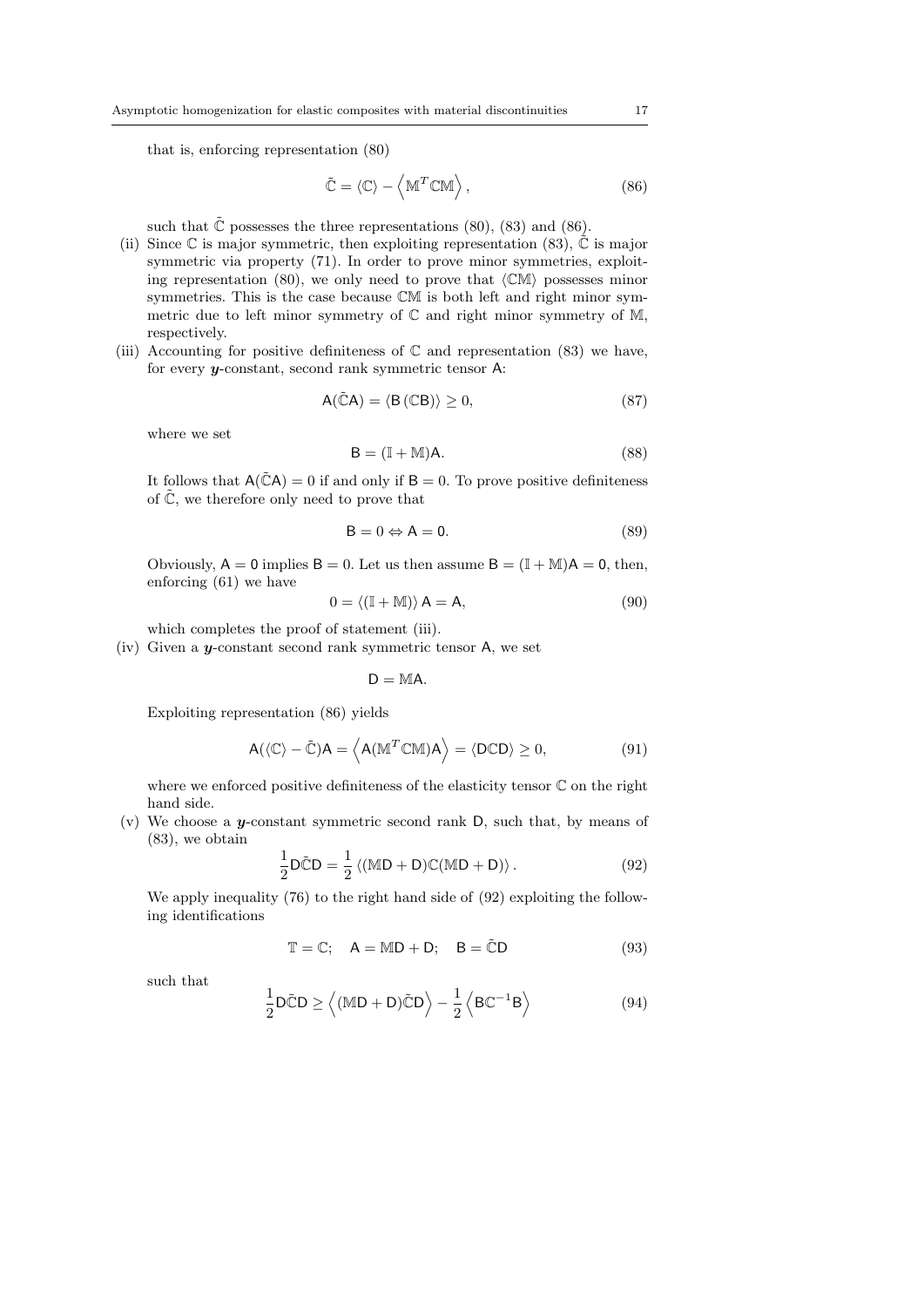that is, enforcing representation (80)

$$
\tilde{\mathbb{C}} = \langle \mathbb{C} \rangle - \left\langle \mathbb{M}^T \mathbb{C} \mathbb{M} \right\rangle, \tag{86}
$$

such that  $\tilde{\mathbb{C}}$  possesses the three representations (80), (83) and (86).

- (ii) Since  $\mathbb C$  is major symmetric, then exploiting representation (83),  $\mathbb C$  is major symmetric via property (71). In order to prove minor symmetries, exploiting representation (80), we only need to prove that  $\langle CM \rangle$  possesses minor symmetries. This is the case because CM is both left and right minor symmetric due to left minor symmetry of  $\mathbb C$  and right minor symmetry of  $\mathbb M$ , respectively.
- (iii) Accounting for positive definiteness of  $\mathbb C$  and representation (83) we have, for every y-constant, second rank symmetric tensor A:

$$
A(\tilde{\mathbb{C}}A) = \langle B(\mathbb{C}B) \rangle \ge 0, \tag{87}
$$

where we set

$$
B = (I + M)A.
$$
 (88)

It follows that  $A(\tilde{C}A) = 0$  if and only if  $B = 0$ . To prove positive definiteness of  $\tilde{\mathbb{C}}$ , we therefore only need to prove that

$$
B = 0 \Leftrightarrow A = 0. \tag{89}
$$

Obviously,  $A = 0$  implies  $B = 0$ . Let us then assume  $B = (\mathbb{I} + \mathbb{M})A = 0$ , then, enforcing (61) we have

$$
0 = \langle (\mathbb{I} + \mathbb{M}) \rangle \mathsf{A} = \mathsf{A},\tag{90}
$$

which completes the proof of statement (iii).

(iv) Given a y-constant second rank symmetric tensor A, we set

 $D = MA$ .

Exploiting representation (86) yields

$$
A(\langle \mathbb{C} \rangle - \tilde{\mathbb{C}})A = \langle A(M^T \mathbb{C} \mathbb{M})A \rangle = \langle D \mathbb{C} D \rangle \ge 0,
$$
\n(91)

where we enforced positive definiteness of the elasticity tensor C on the right hand side.

(v) We choose a y-constant symmetric second rank  $D$ , such that, by means of (83), we obtain

$$
\frac{1}{2}\mathsf{D}\tilde{\mathbb{C}}\mathsf{D} = \frac{1}{2}\left\langle (\mathbb{M}\mathsf{D} + \mathsf{D})\mathbb{C}(\mathbb{M}\mathsf{D} + \mathsf{D})\right\rangle. \tag{92}
$$

We apply inequality (76) to the right hand side of (92) exploiting the following identifications

$$
\mathbb{T} = \mathbb{C}; \quad \mathsf{A} = \mathbb{M}\mathsf{D} + \mathsf{D}; \quad \mathsf{B} = \tilde{\mathbb{C}}\mathsf{D} \tag{93}
$$

such that

$$
\frac{1}{2}\mathsf{D}\tilde{\mathsf{C}}\mathsf{D} \ge \left\langle (\mathbb{M}\mathsf{D} + \mathsf{D})\tilde{\mathsf{C}}\mathsf{D} \right\rangle - \frac{1}{2}\left\langle \mathsf{B}\mathbb{C}^{-1}\mathsf{B} \right\rangle \tag{94}
$$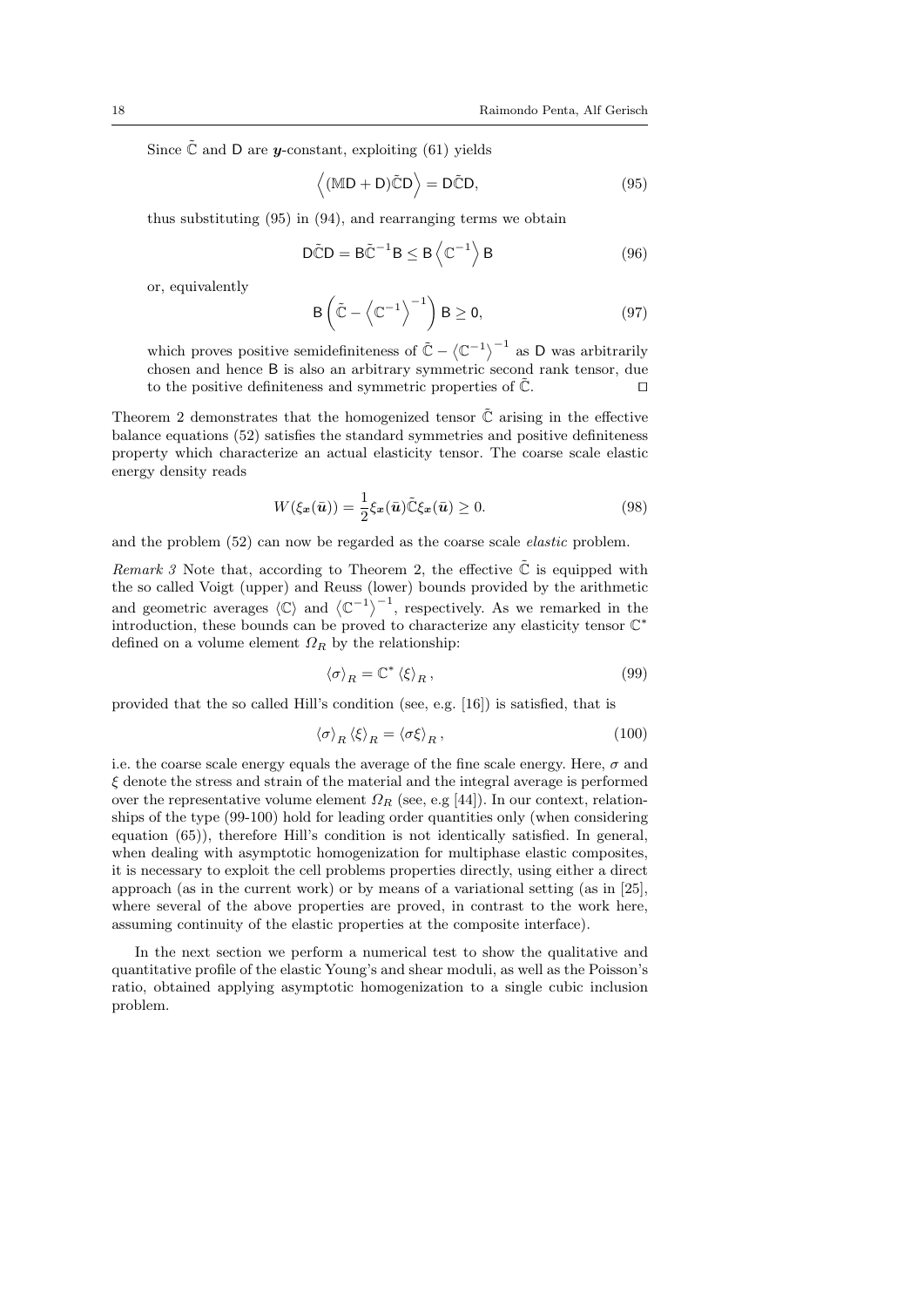Since  $\tilde{\mathbb{C}}$  and D are *y*-constant, exploiting (61) yields

$$
\langle (\mathbb{M} \mathsf{D} + \mathsf{D}) \tilde{\mathbb{C}} \mathsf{D} \rangle = \mathsf{D} \tilde{\mathbb{C}} \mathsf{D},\tag{95}
$$

thus substituting (95) in (94), and rearranging terms we obtain

$$
\tilde{DCD} = B\tilde{C}^{-1}B \le B\left\langle C^{-1} \right\rangle B \tag{96}
$$

or, equivalently

$$
B\left(\tilde{C} - \left\langle C^{-1} \right\rangle^{-1}\right) B \ge 0, \tag{97}
$$

which proves positive semidefiniteness of  $\tilde{C} - \langle C^{-1} \rangle^{-1}$  as D was arbitrarily chosen and hence B is also an arbitrary symmetric second rank tensor, due to the positive definiteness and symmetric properties of  $\tilde{\mathbb{C}}$ .

Theorem 2 demonstrates that the homogenized tensor  $\tilde{C}$  arising in the effective balance equations (52) satisfies the standard symmetries and positive definiteness property which characterize an actual elasticity tensor. The coarse scale elastic energy density reads

$$
W(\xi_x(\bar{\boldsymbol{u}})) = \frac{1}{2}\xi_x(\bar{\boldsymbol{u}})\tilde{\mathbb{C}}\xi_x(\bar{\boldsymbol{u}}) \ge 0.
$$
 (98)

and the problem (52) can now be regarded as the coarse scale elastic problem.

*Remark 3* Note that, according to Theorem 2, the effective  $\tilde{C}$  is equipped with the so called Voigt (upper) and Reuss (lower) bounds provided by the arithmetic and geometric averages  $\langle \mathbb{C} \rangle$  and  $\langle \mathbb{C}^{-1} \rangle^{-1}$ , respectively. As we remarked in the introduction, these bounds can be proved to characterize any elasticity tensor  $\mathbb{C}^*$ defined on a volume element  $\Omega_R$  by the relationship:

$$
\langle \sigma \rangle_R = \mathbb{C}^* \left\langle \xi \right\rangle_R,\tag{99}
$$

provided that the so called Hill's condition (see, e.g. [16]) is satisfied, that is

$$
\left\langle \sigma \right\rangle_R \left\langle \xi \right\rangle_R = \left\langle \sigma \xi \right\rangle_R,\tag{100}
$$

i.e. the coarse scale energy equals the average of the fine scale energy. Here,  $\sigma$  and  $\xi$  denote the stress and strain of the material and the integral average is performed over the representative volume element  $\Omega_R$  (see, e.g [44]). In our context, relationships of the type (99-100) hold for leading order quantities only (when considering equation (65)), therefore Hill's condition is not identically satisfied. In general, when dealing with asymptotic homogenization for multiphase elastic composites, it is necessary to exploit the cell problems properties directly, using either a direct approach (as in the current work) or by means of a variational setting (as in [25], where several of the above properties are proved, in contrast to the work here, assuming continuity of the elastic properties at the composite interface).

In the next section we perform a numerical test to show the qualitative and quantitative profile of the elastic Young's and shear moduli, as well as the Poisson's ratio, obtained applying asymptotic homogenization to a single cubic inclusion problem.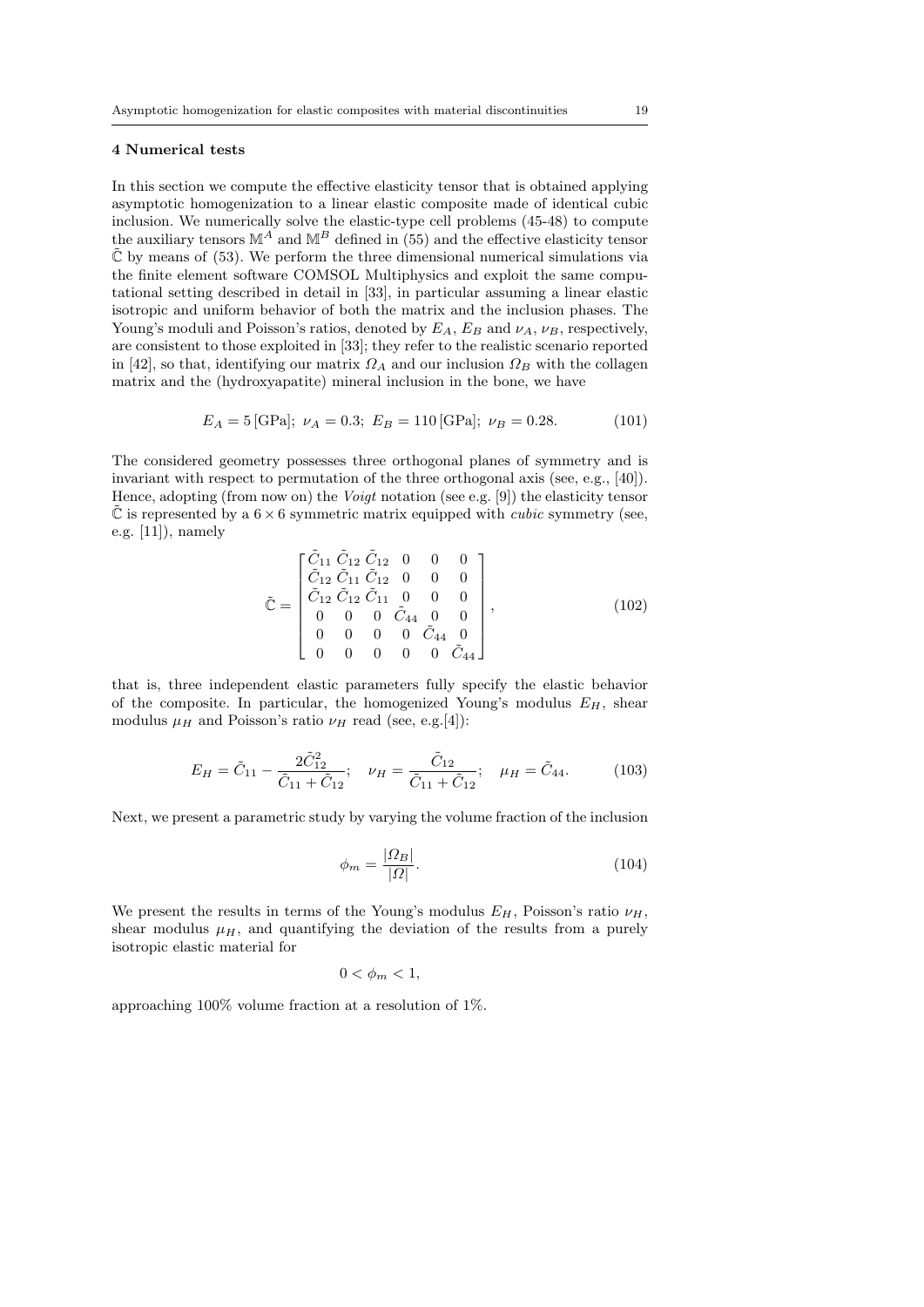#### 4 Numerical tests

In this section we compute the effective elasticity tensor that is obtained applying asymptotic homogenization to a linear elastic composite made of identical cubic inclusion. We numerically solve the elastic-type cell problems (45-48) to compute the auxiliary tensors  $\mathbb{M}^A$  and  $\mathbb{M}^B$  defined in (55) and the effective elasticity tensor  $\tilde{\mathbb{C}}$  by means of (53). We perform the three dimensional numerical simulations via the finite element software COMSOL Multiphysics and exploit the same computational setting described in detail in [33], in particular assuming a linear elastic isotropic and uniform behavior of both the matrix and the inclusion phases. The Young's moduli and Poisson's ratios, denoted by  $E_A$ ,  $E_B$  and  $\nu_A$ ,  $\nu_B$ , respectively, are consistent to those exploited in [33]; they refer to the realistic scenario reported in [42], so that, identifying our matrix  $\Omega_A$  and our inclusion  $\Omega_B$  with the collagen matrix and the (hydroxyapatite) mineral inclusion in the bone, we have

$$
E_A = 5 \text{[GPa]}; \ \nu_A = 0.3; \ E_B = 110 \text{[GPa]}; \ \nu_B = 0.28. \tag{101}
$$

The considered geometry possesses three orthogonal planes of symmetry and is invariant with respect to permutation of the three orthogonal axis (see, e.g., [40]). Hence, adopting (from now on) the Voigt notation (see e.g. [9]) the elasticity tensor  $\mathbb C$  is represented by a  $6 \times 6$  symmetric matrix equipped with *cubic* symmetry (see, e.g. [11]), namely

$$
\tilde{\mathbb{C}} = \begin{bmatrix}\n\tilde{C}_{11} & \tilde{C}_{12} & \tilde{C}_{12} & 0 & 0 & 0 \\
\tilde{C}_{12} & \tilde{C}_{11} & \tilde{C}_{12} & 0 & 0 & 0 \\
\tilde{C}_{12} & \tilde{C}_{12} & \tilde{C}_{11} & 0 & 0 & 0 \\
0 & 0 & 0 & \tilde{C}_{44} & 0 & 0 \\
0 & 0 & 0 & 0 & \tilde{C}_{44} & 0 \\
0 & 0 & 0 & 0 & 0 & \tilde{C}_{44}\n\end{bmatrix},
$$
\n(102)

that is, three independent elastic parameters fully specify the elastic behavior of the composite. In particular, the homogenized Young's modulus  $E_H$ , shear modulus  $\mu_H$  and Poisson's ratio  $\nu_H$  read (see, e.g.[4]):

$$
E_H = \tilde{C}_{11} - \frac{2\tilde{C}_{12}^2}{\tilde{C}_{11} + \tilde{C}_{12}}; \quad \nu_H = \frac{\tilde{C}_{12}}{\tilde{C}_{11} + \tilde{C}_{12}}; \quad \mu_H = \tilde{C}_{44}.
$$
 (103)

Next, we present a parametric study by varying the volume fraction of the inclusion

$$
\phi_m = \frac{|\Omega_B|}{|\Omega|}.\tag{104}
$$

We present the results in terms of the Young's modulus  $E_H$ , Poisson's ratio  $\nu_H$ , shear modulus  $\mu$ <sub>H</sub>, and quantifying the deviation of the results from a purely isotropic elastic material for

$$
0 < \phi_m < 1,
$$

approaching 100% volume fraction at a resolution of 1%.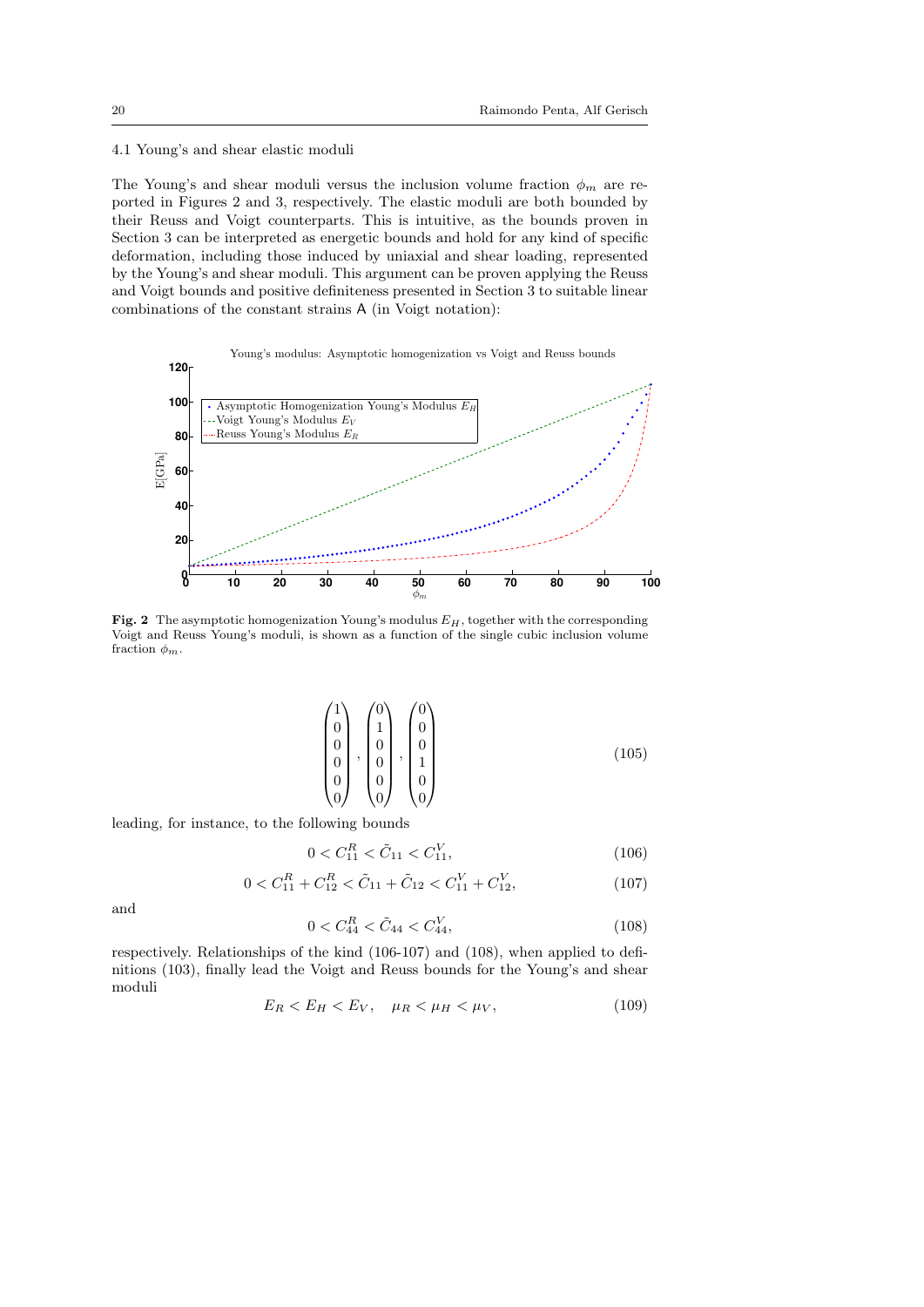#### 4.1 Young's and shear elastic moduli

The Young's and shear moduli versus the inclusion volume fraction  $\phi_m$  are reported in Figures 2 and 3, respectively. The elastic moduli are both bounded by their Reuss and Voigt counterparts. This is intuitive, as the bounds proven in Section 3 can be interpreted as energetic bounds and hold for any kind of specific deformation, including those induced by uniaxial and shear loading, represented by the Young's and shear moduli. This argument can be proven applying the Reuss and Voigt bounds and positive definiteness presented in Section 3 to suitable linear combinations of the constant strains A (in Voigt notation):



Fig. 2 The asymptotic homogenization Young's modulus  $E_H$ , together with the corresponding Voigt and Reuss Young's moduli, is shown as a function of the single cubic inclusion volume fraction  $\phi_m$ .

$$
\begin{pmatrix} 1 \\ 0 \\ 0 \\ 0 \\ 0 \\ 0 \end{pmatrix}, \begin{pmatrix} 0 \\ 1 \\ 0 \\ 0 \\ 0 \\ 0 \end{pmatrix}, \begin{pmatrix} 0 \\ 0 \\ 0 \\ 1 \\ 0 \\ 0 \end{pmatrix}
$$
(105)

leading, for instance, to the following bounds

$$
0 < C_{11}^R < \tilde{C}_{11} < C_{11}^V,\tag{106}
$$

$$
0 < C_{11}^R + C_{12}^R < \tilde{C}_{11} + \tilde{C}_{12} < C_{11}^V + C_{12}^V,\tag{107}
$$

and

$$
0 < C_{44}^R < \tilde{C}_{44} < C_{44}^V,\tag{108}
$$

respectively. Relationships of the kind (106-107) and (108), when applied to definitions (103), finally lead the Voigt and Reuss bounds for the Young's and shear moduli

$$
E_R < E_H < E_V, \quad \mu_R < \mu_H < \mu_V,\tag{109}
$$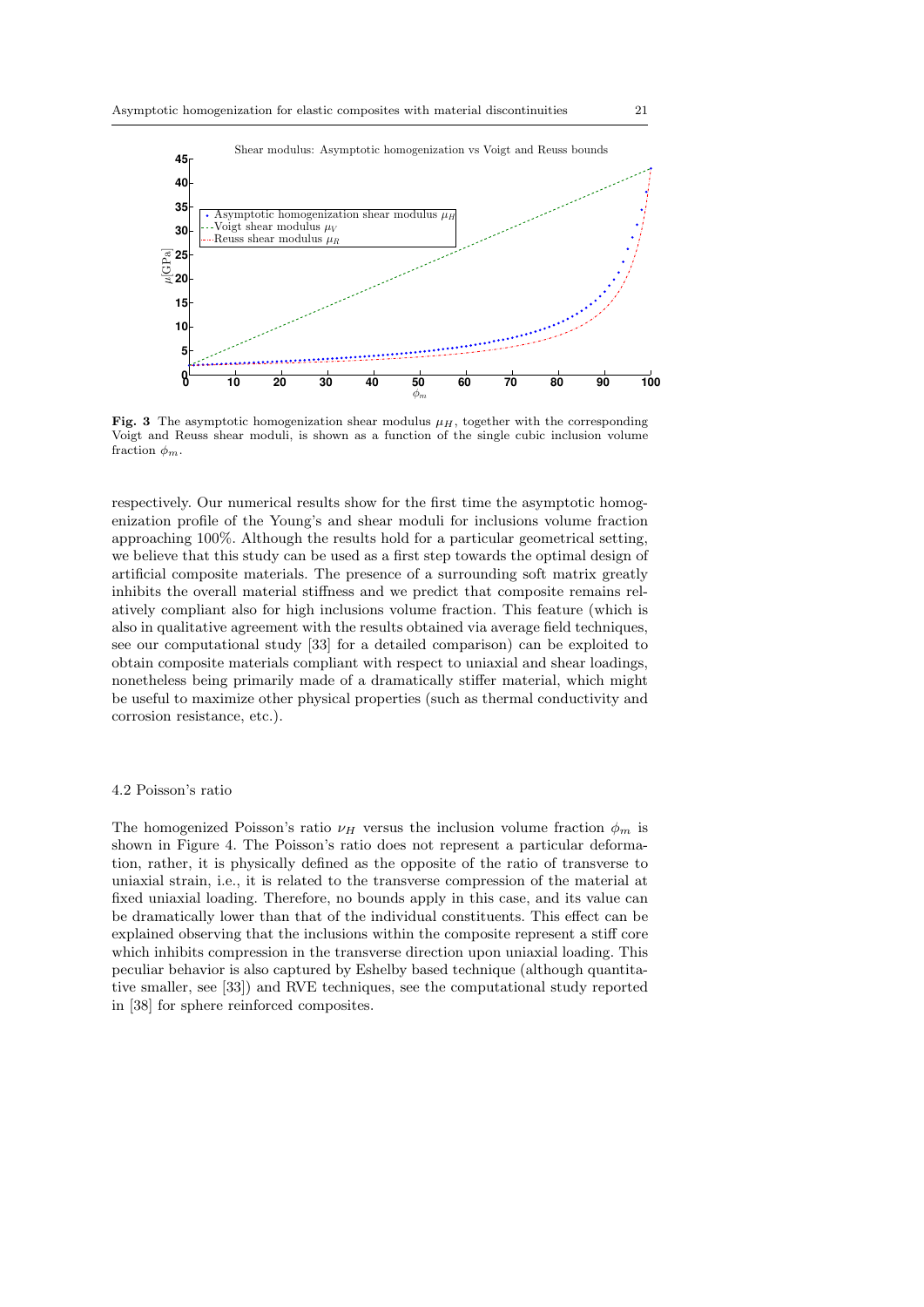

Shear modulus: Asymptotic homogenization vs Voigt and Reuss bounds

Fig. 3 The asymptotic homogenization shear modulus  $\mu$ <sub>H</sub>, together with the corresponding Voigt and Reuss shear moduli, is shown as a function of the single cubic inclusion volume fraction  $\phi_m$ .

respectively. Our numerical results show for the first time the asymptotic homogenization profile of the Young's and shear moduli for inclusions volume fraction approaching 100%. Although the results hold for a particular geometrical setting, we believe that this study can be used as a first step towards the optimal design of artificial composite materials. The presence of a surrounding soft matrix greatly inhibits the overall material stiffness and we predict that composite remains relatively compliant also for high inclusions volume fraction. This feature (which is also in qualitative agreement with the results obtained via average field techniques, see our computational study [33] for a detailed comparison) can be exploited to obtain composite materials compliant with respect to uniaxial and shear loadings, nonetheless being primarily made of a dramatically stiffer material, which might be useful to maximize other physical properties (such as thermal conductivity and corrosion resistance, etc.).

#### 4.2 Poisson's ratio

The homogenized Poisson's ratio  $\nu_H$  versus the inclusion volume fraction  $\phi_m$  is shown in Figure 4. The Poisson's ratio does not represent a particular deformation, rather, it is physically defined as the opposite of the ratio of transverse to uniaxial strain, i.e., it is related to the transverse compression of the material at fixed uniaxial loading. Therefore, no bounds apply in this case, and its value can be dramatically lower than that of the individual constituents. This effect can be explained observing that the inclusions within the composite represent a stiff core which inhibits compression in the transverse direction upon uniaxial loading. This peculiar behavior is also captured by Eshelby based technique (although quantitative smaller, see [33]) and RVE techniques, see the computational study reported in [38] for sphere reinforced composites.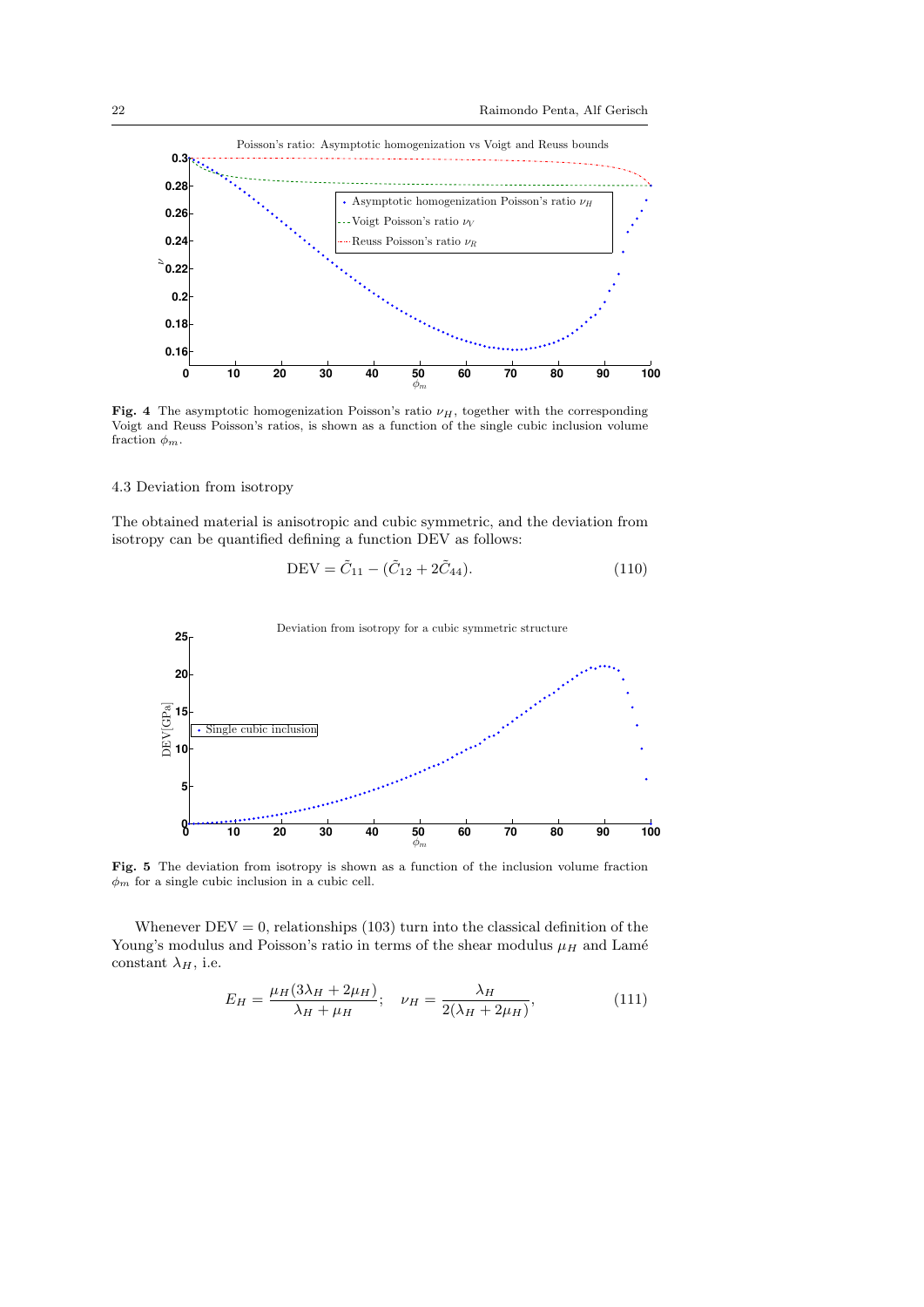

Fig. 4 The asymptotic homogenization Poisson's ratio  $\nu_H$ , together with the corresponding Voigt and Reuss Poisson's ratios, is shown as a function of the single cubic inclusion volume fraction  $\phi_m$ .

#### 4.3 Deviation from isotropy

The obtained material is anisotropic and cubic symmetric, and the deviation from isotropy can be quantified defining a function DEV as follows:

$$
DEV = \tilde{C}_{11} - (\tilde{C}_{12} + 2\tilde{C}_{44}).
$$
\n(110)



Fig. 5 The deviation from isotropy is shown as a function of the inclusion volume fraction  $\phi_m$  for a single cubic inclusion in a cubic cell.

Whenever  $DEV = 0$ , relationships (103) turn into the classical definition of the Young's modulus and Poisson's ratio in terms of the shear modulus  $\mu_H$  and Lamé constant  $\lambda_H$ , i.e.

$$
E_H = \frac{\mu_H (3\lambda_H + 2\mu_H)}{\lambda_H + \mu_H}; \quad \nu_H = \frac{\lambda_H}{2(\lambda_H + 2\mu_H)},\tag{111}
$$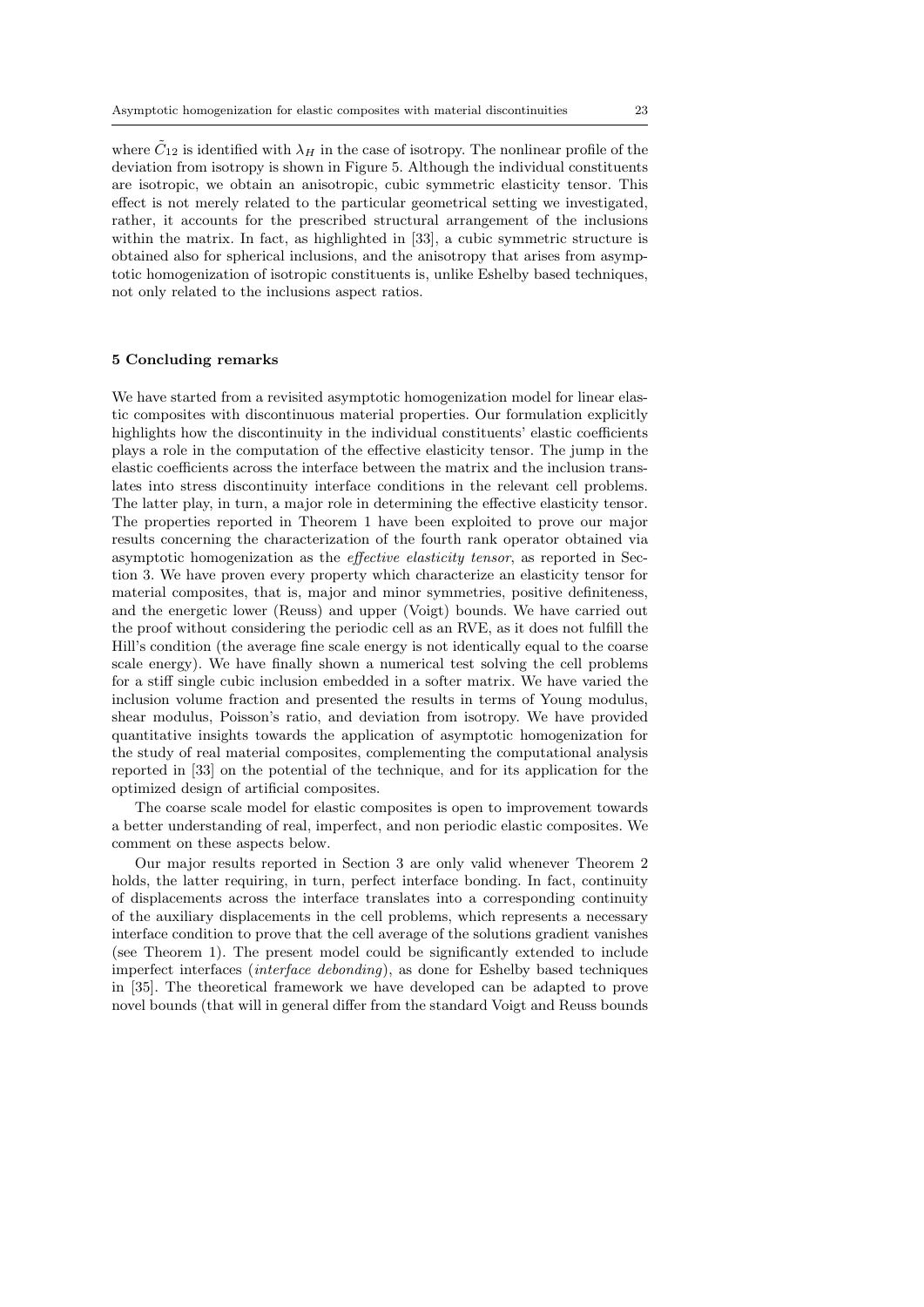where  $C_{12}$  is identified with  $\lambda_H$  in the case of isotropy. The nonlinear profile of the deviation from isotropy is shown in Figure 5. Although the individual constituents are isotropic, we obtain an anisotropic, cubic symmetric elasticity tensor. This effect is not merely related to the particular geometrical setting we investigated, rather, it accounts for the prescribed structural arrangement of the inclusions within the matrix. In fact, as highlighted in [33], a cubic symmetric structure is obtained also for spherical inclusions, and the anisotropy that arises from asymptotic homogenization of isotropic constituents is, unlike Eshelby based techniques, not only related to the inclusions aspect ratios.

#### 5 Concluding remarks

We have started from a revisited asymptotic homogenization model for linear elastic composites with discontinuous material properties. Our formulation explicitly highlights how the discontinuity in the individual constituents' elastic coefficients plays a role in the computation of the effective elasticity tensor. The jump in the elastic coefficients across the interface between the matrix and the inclusion translates into stress discontinuity interface conditions in the relevant cell problems. The latter play, in turn, a major role in determining the effective elasticity tensor. The properties reported in Theorem 1 have been exploited to prove our major results concerning the characterization of the fourth rank operator obtained via asymptotic homogenization as the effective elasticity tensor, as reported in Section 3. We have proven every property which characterize an elasticity tensor for material composites, that is, major and minor symmetries, positive definiteness, and the energetic lower (Reuss) and upper (Voigt) bounds. We have carried out the proof without considering the periodic cell as an RVE, as it does not fulfill the Hill's condition (the average fine scale energy is not identically equal to the coarse scale energy). We have finally shown a numerical test solving the cell problems for a stiff single cubic inclusion embedded in a softer matrix. We have varied the inclusion volume fraction and presented the results in terms of Young modulus, shear modulus, Poisson's ratio, and deviation from isotropy. We have provided quantitative insights towards the application of asymptotic homogenization for the study of real material composites, complementing the computational analysis reported in [33] on the potential of the technique, and for its application for the optimized design of artificial composites.

The coarse scale model for elastic composites is open to improvement towards a better understanding of real, imperfect, and non periodic elastic composites. We comment on these aspects below.

Our major results reported in Section 3 are only valid whenever Theorem 2 holds, the latter requiring, in turn, perfect interface bonding. In fact, continuity of displacements across the interface translates into a corresponding continuity of the auxiliary displacements in the cell problems, which represents a necessary interface condition to prove that the cell average of the solutions gradient vanishes (see Theorem 1). The present model could be significantly extended to include imperfect interfaces (interface debonding), as done for Eshelby based techniques in [35]. The theoretical framework we have developed can be adapted to prove novel bounds (that will in general differ from the standard Voigt and Reuss bounds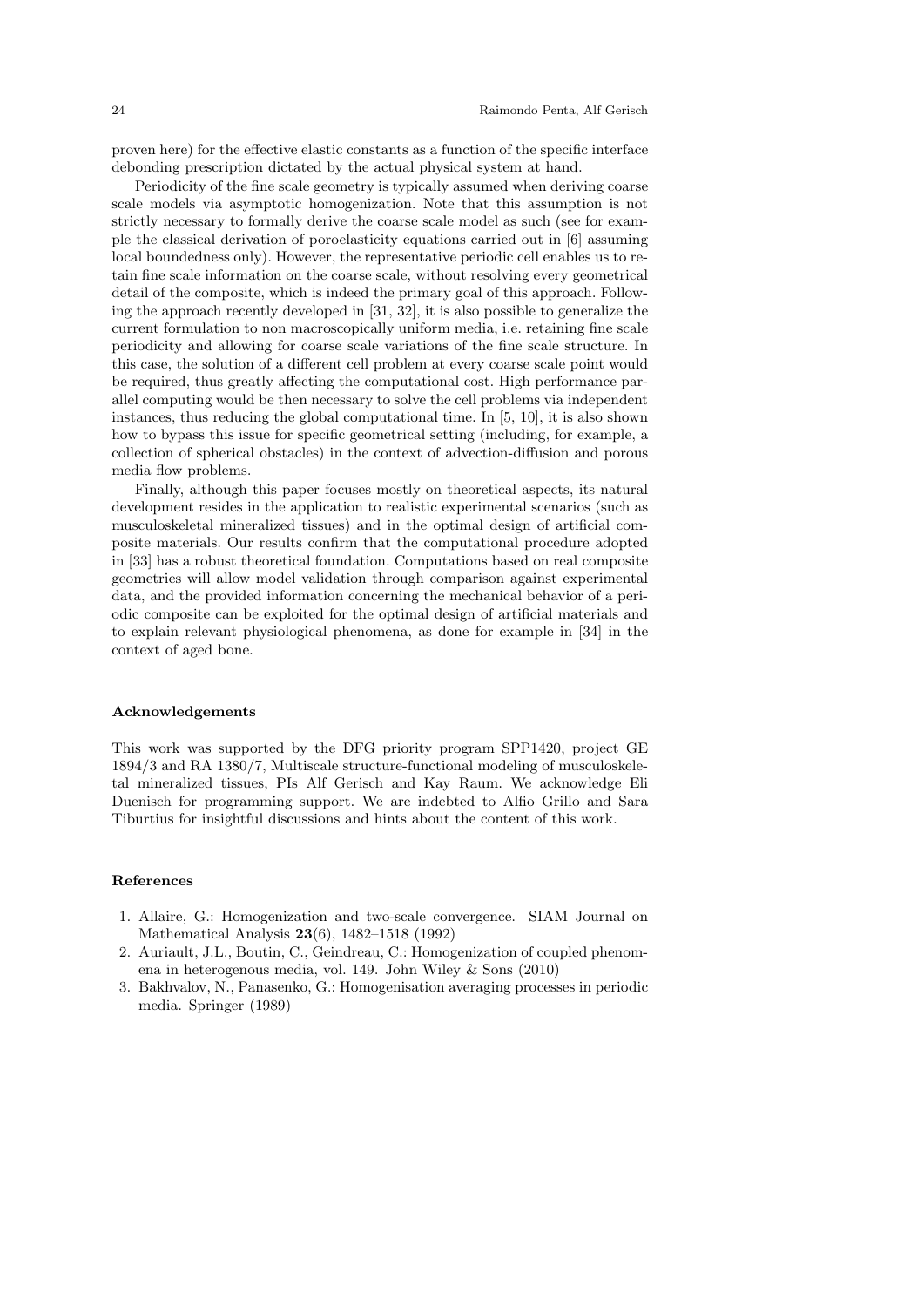proven here) for the effective elastic constants as a function of the specific interface debonding prescription dictated by the actual physical system at hand.

Periodicity of the fine scale geometry is typically assumed when deriving coarse scale models via asymptotic homogenization. Note that this assumption is not strictly necessary to formally derive the coarse scale model as such (see for example the classical derivation of poroelasticity equations carried out in [6] assuming local boundedness only). However, the representative periodic cell enables us to retain fine scale information on the coarse scale, without resolving every geometrical detail of the composite, which is indeed the primary goal of this approach. Following the approach recently developed in [31, 32], it is also possible to generalize the current formulation to non macroscopically uniform media, i.e. retaining fine scale periodicity and allowing for coarse scale variations of the fine scale structure. In this case, the solution of a different cell problem at every coarse scale point would be required, thus greatly affecting the computational cost. High performance parallel computing would be then necessary to solve the cell problems via independent instances, thus reducing the global computational time. In [5, 10], it is also shown how to bypass this issue for specific geometrical setting (including, for example, a collection of spherical obstacles) in the context of advection-diffusion and porous media flow problems.

Finally, although this paper focuses mostly on theoretical aspects, its natural development resides in the application to realistic experimental scenarios (such as musculoskeletal mineralized tissues) and in the optimal design of artificial composite materials. Our results confirm that the computational procedure adopted in [33] has a robust theoretical foundation. Computations based on real composite geometries will allow model validation through comparison against experimental data, and the provided information concerning the mechanical behavior of a periodic composite can be exploited for the optimal design of artificial materials and to explain relevant physiological phenomena, as done for example in [34] in the context of aged bone.

#### Acknowledgements

This work was supported by the DFG priority program SPP1420, project GE 1894/3 and RA 1380/7, Multiscale structure-functional modeling of musculoskeletal mineralized tissues, PIs Alf Gerisch and Kay Raum. We acknowledge Eli Duenisch for programming support. We are indebted to Alfio Grillo and Sara Tiburtius for insightful discussions and hints about the content of this work.

#### References

- 1. Allaire, G.: Homogenization and two-scale convergence. SIAM Journal on Mathematical Analysis 23(6), 1482–1518 (1992)
- 2. Auriault, J.L., Boutin, C., Geindreau, C.: Homogenization of coupled phenomena in heterogenous media, vol. 149. John Wiley & Sons (2010)
- 3. Bakhvalov, N., Panasenko, G.: Homogenisation averaging processes in periodic media. Springer (1989)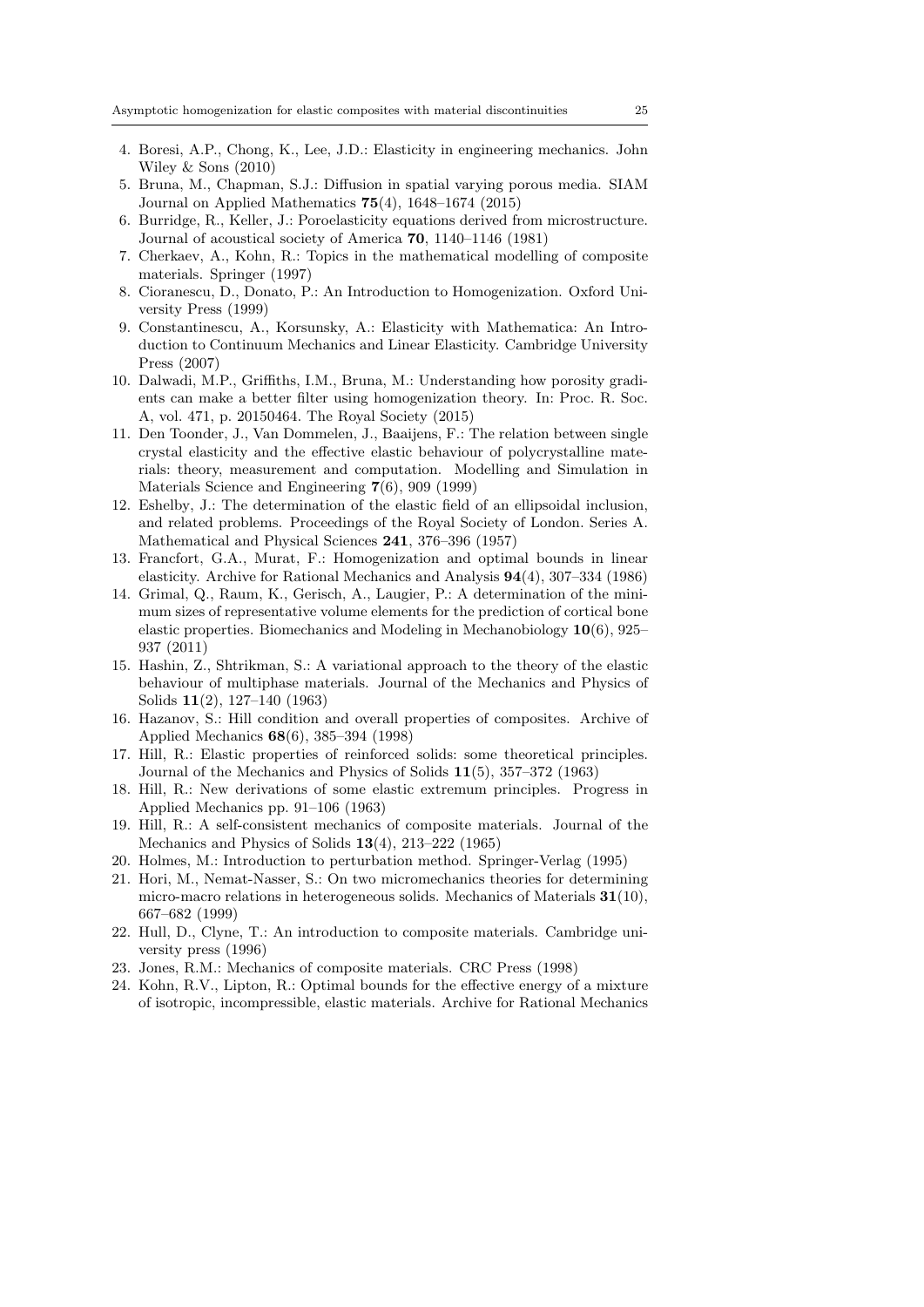- 4. Boresi, A.P., Chong, K., Lee, J.D.: Elasticity in engineering mechanics. John Wiley & Sons (2010)
- 5. Bruna, M., Chapman, S.J.: Diffusion in spatial varying porous media. SIAM Journal on Applied Mathematics 75(4), 1648–1674 (2015)
- 6. Burridge, R., Keller, J.: Poroelasticity equations derived from microstructure. Journal of acoustical society of America 70, 1140–1146 (1981)
- 7. Cherkaev, A., Kohn, R.: Topics in the mathematical modelling of composite materials. Springer (1997)
- 8. Cioranescu, D., Donato, P.: An Introduction to Homogenization. Oxford University Press (1999)
- 9. Constantinescu, A., Korsunsky, A.: Elasticity with Mathematica: An Introduction to Continuum Mechanics and Linear Elasticity. Cambridge University Press (2007)
- 10. Dalwadi, M.P., Griffiths, I.M., Bruna, M.: Understanding how porosity gradients can make a better filter using homogenization theory. In: Proc. R. Soc. A, vol. 471, p. 20150464. The Royal Society (2015)
- 11. Den Toonder, J., Van Dommelen, J., Baaijens, F.: The relation between single crystal elasticity and the effective elastic behaviour of polycrystalline materials: theory, measurement and computation. Modelling and Simulation in Materials Science and Engineering 7(6), 909 (1999)
- 12. Eshelby, J.: The determination of the elastic field of an ellipsoidal inclusion, and related problems. Proceedings of the Royal Society of London. Series A. Mathematical and Physical Sciences 241, 376–396 (1957)
- 13. Francfort, G.A., Murat, F.: Homogenization and optimal bounds in linear elasticity. Archive for Rational Mechanics and Analysis 94(4), 307–334 (1986)
- 14. Grimal, Q., Raum, K., Gerisch, A., Laugier, P.: A determination of the minimum sizes of representative volume elements for the prediction of cortical bone elastic properties. Biomechanics and Modeling in Mechanobiology 10(6), 925– 937 (2011)
- 15. Hashin, Z., Shtrikman, S.: A variational approach to the theory of the elastic behaviour of multiphase materials. Journal of the Mechanics and Physics of Solids 11(2), 127–140 (1963)
- 16. Hazanov, S.: Hill condition and overall properties of composites. Archive of Applied Mechanics 68(6), 385–394 (1998)
- 17. Hill, R.: Elastic properties of reinforced solids: some theoretical principles. Journal of the Mechanics and Physics of Solids 11(5), 357–372 (1963)
- 18. Hill, R.: New derivations of some elastic extremum principles. Progress in Applied Mechanics pp. 91–106 (1963)
- 19. Hill, R.: A self-consistent mechanics of composite materials. Journal of the Mechanics and Physics of Solids 13(4), 213–222 (1965)
- 20. Holmes, M.: Introduction to perturbation method. Springer-Verlag (1995)
- 21. Hori, M., Nemat-Nasser, S.: On two micromechanics theories for determining micro-macro relations in heterogeneous solids. Mechanics of Materials  $31(10)$ , 667–682 (1999)
- 22. Hull, D., Clyne, T.: An introduction to composite materials. Cambridge university press (1996)
- 23. Jones, R.M.: Mechanics of composite materials. CRC Press (1998)
- 24. Kohn, R.V., Lipton, R.: Optimal bounds for the effective energy of a mixture of isotropic, incompressible, elastic materials. Archive for Rational Mechanics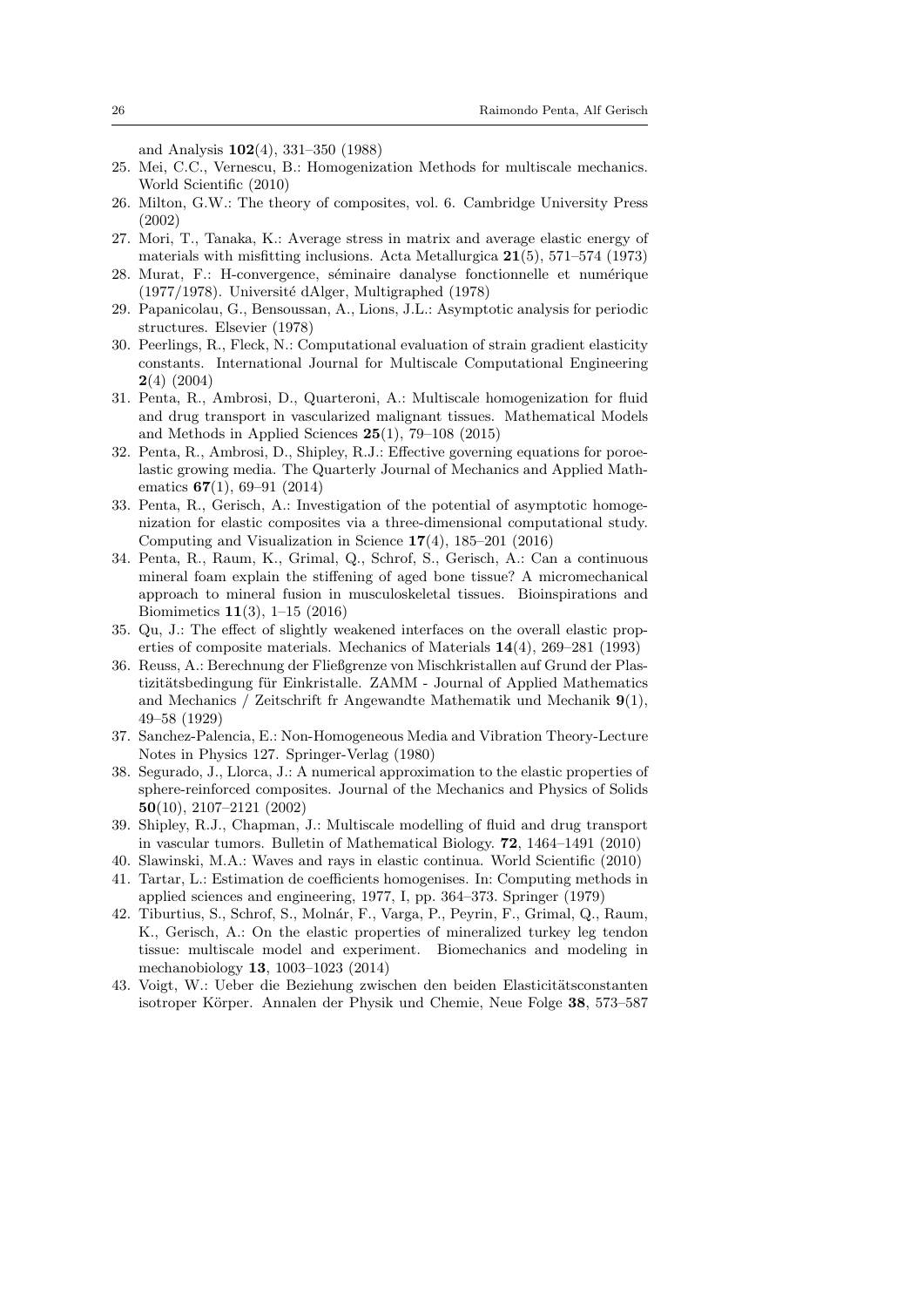and Analysis 102(4), 331–350 (1988)

- 25. Mei, C.C., Vernescu, B.: Homogenization Methods for multiscale mechanics. World Scientific (2010)
- 26. Milton, G.W.: The theory of composites, vol. 6. Cambridge University Press (2002)
- 27. Mori, T., Tanaka, K.: Average stress in matrix and average elastic energy of materials with misfitting inclusions. Acta Metallurgica 21(5), 571–574 (1973)
- 28. Murat, F.: H-convergence, séminaire danalyse fonctionnelle et numérique  $(1977/1978)$ . Université dAlger, Multigraphed  $(1978)$
- 29. Papanicolau, G., Bensoussan, A., Lions, J.L.: Asymptotic analysis for periodic structures. Elsevier (1978)
- 30. Peerlings, R., Fleck, N.: Computational evaluation of strain gradient elasticity constants. International Journal for Multiscale Computational Engineering  $2(4)$  (2004)
- 31. Penta, R., Ambrosi, D., Quarteroni, A.: Multiscale homogenization for fluid and drug transport in vascularized malignant tissues. Mathematical Models and Methods in Applied Sciences  $25(1)$ , 79–108 (2015)
- 32. Penta, R., Ambrosi, D., Shipley, R.J.: Effective governing equations for poroelastic growing media. The Quarterly Journal of Mechanics and Applied Mathematics 67(1), 69–91 (2014)
- 33. Penta, R., Gerisch, A.: Investigation of the potential of asymptotic homogenization for elastic composites via a three-dimensional computational study. Computing and Visualization in Science 17(4), 185–201 (2016)
- 34. Penta, R., Raum, K., Grimal, Q., Schrof, S., Gerisch, A.: Can a continuous mineral foam explain the stiffening of aged bone tissue? A micromechanical approach to mineral fusion in musculoskeletal tissues. Bioinspirations and Biomimetics 11(3), 1–15 (2016)
- 35. Qu, J.: The effect of slightly weakened interfaces on the overall elastic properties of composite materials. Mechanics of Materials 14(4), 269–281 (1993)
- 36. Reuss, A.: Berechnung der Fließgrenze von Mischkristallen auf Grund der Plastizitätsbedingung für Einkristalle. ZAMM - Journal of Applied Mathematics and Mechanics / Zeitschrift fr Angewandte Mathematik und Mechanik  $9(1)$ , 49–58 (1929)
- 37. Sanchez-Palencia, E.: Non-Homogeneous Media and Vibration Theory-Lecture Notes in Physics 127. Springer-Verlag (1980)
- 38. Segurado, J., Llorca, J.: A numerical approximation to the elastic properties of sphere-reinforced composites. Journal of the Mechanics and Physics of Solids 50(10), 2107–2121 (2002)
- 39. Shipley, R.J., Chapman, J.: Multiscale modelling of fluid and drug transport in vascular tumors. Bulletin of Mathematical Biology. 72, 1464–1491 (2010)
- 40. Slawinski, M.A.: Waves and rays in elastic continua. World Scientific (2010)
- 41. Tartar, L.: Estimation de coefficients homogenises. In: Computing methods in applied sciences and engineering, 1977, I, pp. 364–373. Springer (1979)
- 42. Tiburtius, S., Schrof, S., Moln´ar, F., Varga, P., Peyrin, F., Grimal, Q., Raum, K., Gerisch, A.: On the elastic properties of mineralized turkey leg tendon tissue: multiscale model and experiment. Biomechanics and modeling in mechanobiology 13, 1003–1023 (2014)
- 43. Voigt, W.: Ueber die Beziehung zwischen den beiden Elasticitätsconstanten isotroper Körper. Annalen der Physik und Chemie, Neue Folge 38, 573–587